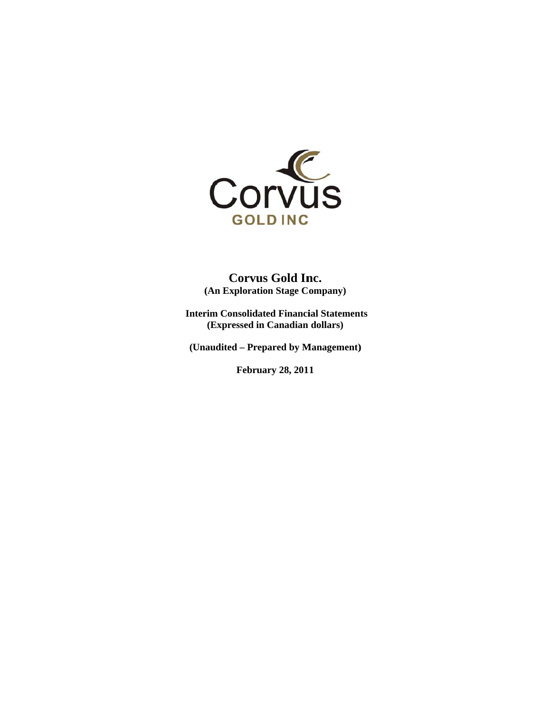

**( (An Explorat tion Stage C ompany) Corvus Gold Inc.** 

Interim Consolidated Financial Statements **(Expressed i in Canadian dollars)** 

**(Un audited – Pr repared by M Management)**

**Febru uary 28, 201 1**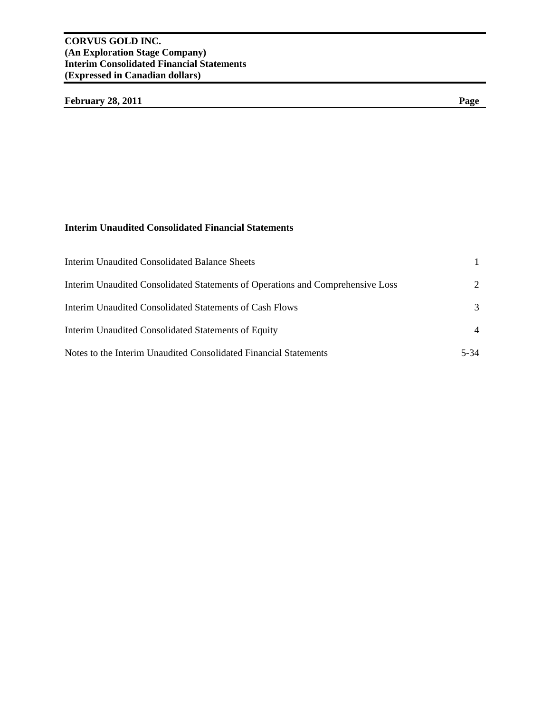# February 28, 2011 Page

# **Interim Unaudited Consolidated Financial Statements**

| <b>Interim Unaudited Consolidated Balance Sheets</b>                           |             |
|--------------------------------------------------------------------------------|-------------|
| Interim Unaudited Consolidated Statements of Operations and Comprehensive Loss | $2^{\circ}$ |
| Interim Unaudited Consolidated Statements of Cash Flows                        | 3           |
| Interim Unaudited Consolidated Statements of Equity                            |             |
| Notes to the Interim Unaudited Consolidated Financial Statements               | 5-34        |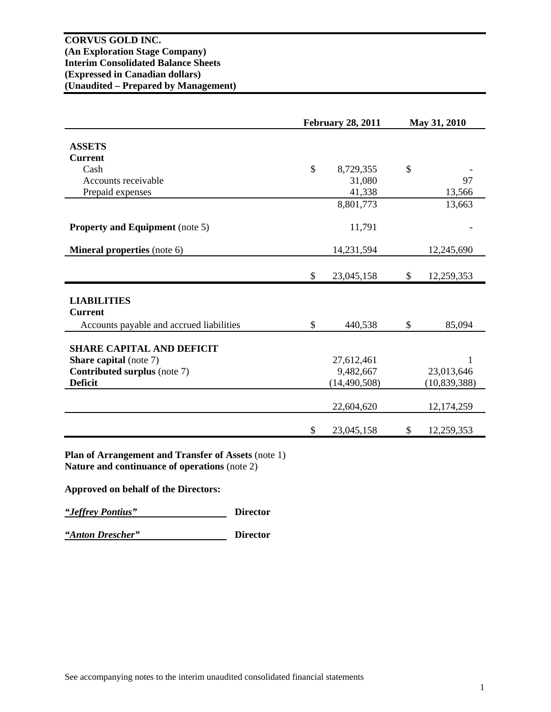|                                          | <b>February 28, 2011</b> |                | May 31, 2010 |                |  |
|------------------------------------------|--------------------------|----------------|--------------|----------------|--|
|                                          |                          |                |              |                |  |
| <b>ASSETS</b>                            |                          |                |              |                |  |
| <b>Current</b>                           |                          |                |              |                |  |
| Cash                                     | $\mathcal{S}$            | 8,729,355      | \$           |                |  |
| Accounts receivable                      |                          | 31,080         |              | 97             |  |
| Prepaid expenses                         |                          | 41,338         |              | 13,566         |  |
|                                          |                          | 8,801,773      |              | 13,663         |  |
|                                          |                          |                |              |                |  |
| <b>Property and Equipment</b> (note 5)   |                          | 11,791         |              |                |  |
| <b>Mineral properties</b> (note 6)       |                          | 14,231,594     |              | 12,245,690     |  |
|                                          |                          |                |              |                |  |
|                                          | \$                       | 23,045,158     | \$           | 12,259,353     |  |
|                                          |                          |                |              |                |  |
| <b>LIABILITIES</b>                       |                          |                |              |                |  |
| <b>Current</b>                           |                          |                |              |                |  |
| Accounts payable and accrued liabilities | \$                       | 440,538        | \$           | 85,094         |  |
|                                          |                          |                |              |                |  |
| <b>SHARE CAPITAL AND DEFICIT</b>         |                          |                |              |                |  |
| <b>Share capital</b> (note 7)            |                          | 27,612,461     |              | 1              |  |
| <b>Contributed surplus (note 7)</b>      |                          | 9,482,667      |              | 23,013,646     |  |
| <b>Deficit</b>                           |                          | (14, 490, 508) |              | (10, 839, 388) |  |
|                                          |                          | 22,604,620     |              | 12, 174, 259   |  |
|                                          |                          |                |              |                |  |
|                                          | \$                       | 23,045,158     | \$           | 12,259,353     |  |

**Plan of Arrangement and Transfer of Assets** (note 1) **Nature and continuance of operations** (note 2)

**Approved on behalf of the Directors:** 

*"Jeffrey Pontius"* **Director** 

*"Anton Drescher"* **Director**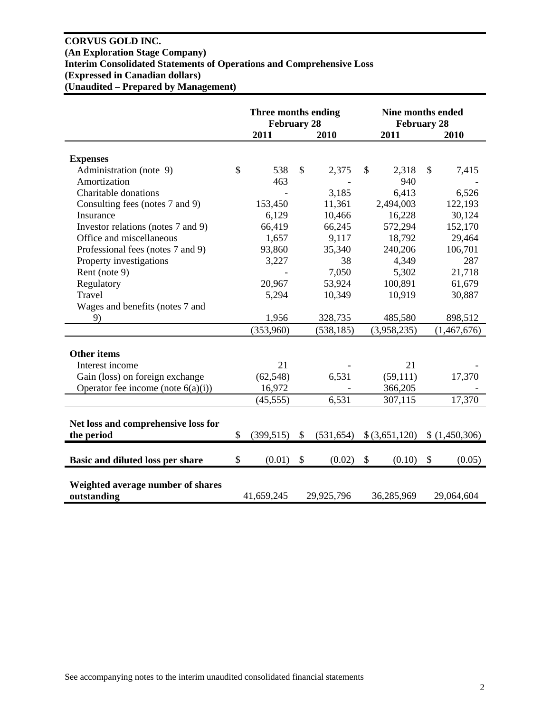# **CORVUS GOLD INC. (An Exploration Stage Company) Interim Consolidated Statements of Operations and Comprehensive Loss (Expressed in Canadian dollars) (Unaudited – Prepared by Management)**

|                                                  | Three months ending<br><b>February 28</b> |                           |            | <b>Nine months ended</b><br><b>February 28</b> |                           |               |
|--------------------------------------------------|-------------------------------------------|---------------------------|------------|------------------------------------------------|---------------------------|---------------|
|                                                  | 2011                                      |                           | 2010       | 2011                                           |                           | 2010          |
| <b>Expenses</b>                                  |                                           |                           |            |                                                |                           |               |
| Administration (note 9)                          | \$<br>538                                 | \$                        | 2,375      | \$<br>2,318                                    | \$                        | 7,415         |
| Amortization                                     | 463                                       |                           |            | 940                                            |                           |               |
| Charitable donations                             |                                           |                           | 3,185      | 6,413                                          |                           | 6,526         |
| Consulting fees (notes 7 and 9)                  | 153,450                                   |                           | 11,361     | 2,494,003                                      |                           | 122,193       |
| Insurance                                        | 6,129                                     |                           | 10,466     | 16,228                                         |                           | 30,124        |
| Investor relations (notes 7 and 9)               | 66,419                                    |                           | 66,245     | 572,294                                        |                           | 152,170       |
| Office and miscellaneous                         | 1,657                                     |                           | 9,117      | 18,792                                         |                           | 29,464        |
| Professional fees (notes 7 and 9)                | 93,860                                    |                           | 35,340     | 240,206                                        |                           | 106,701       |
| Property investigations                          | 3,227                                     |                           | 38         | 4,349                                          |                           | 287           |
| Rent (note 9)                                    |                                           |                           | 7,050      | 5,302                                          |                           | 21,718        |
| Regulatory                                       | 20,967                                    |                           | 53,924     | 100,891                                        |                           | 61,679        |
| Travel                                           | 5,294                                     |                           | 10,349     | 10,919                                         |                           | 30,887        |
| Wages and benefits (notes 7 and                  |                                           |                           |            |                                                |                           |               |
| 9)                                               | 1,956                                     |                           | 328,735    | 485,580                                        |                           | 898,512       |
|                                                  | (353,960)                                 |                           | (538, 185) | (3,958,235)                                    |                           | (1,467,676)   |
|                                                  |                                           |                           |            |                                                |                           |               |
| <b>Other items</b>                               |                                           |                           |            |                                                |                           |               |
| Interest income                                  | 21                                        |                           |            | 21                                             |                           |               |
| Gain (loss) on foreign exchange                  | (62, 548)                                 |                           | 6,531      | (59,111)                                       |                           | 17,370        |
| Operator fee income (note $6(a)(i)$ )            | 16,972                                    |                           |            | 366,205                                        |                           |               |
|                                                  | (45, 555)                                 |                           | 6,531      | 307,115                                        |                           | 17,370        |
|                                                  |                                           |                           |            |                                                |                           |               |
| Net loss and comprehensive loss for              |                                           |                           |            |                                                |                           |               |
| the period                                       | \$<br>(399, 515)                          | $\mathbb{S}$              | (531, 654) | \$(3,651,120)                                  |                           | \$(1,450,306) |
|                                                  |                                           |                           |            |                                                |                           |               |
| Basic and diluted loss per share                 | \$<br>(0.01)                              | $\boldsymbol{\mathsf{S}}$ | (0.02)     | \$<br>(0.10)                                   | $\boldsymbol{\mathsf{S}}$ | (0.05)        |
| Weighted average number of shares<br>outstanding | 41,659,245                                |                           | 29,925,796 | 36,285,969                                     |                           | 29,064,604    |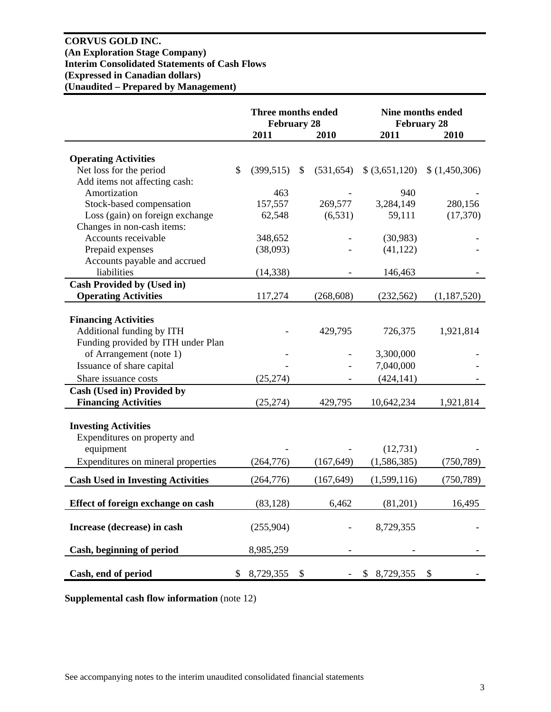# **CORVUS GOLD INC. (An Exploration Stage Company) Interim Consolidated Statements of Cash Flows (Expressed in Canadian dollars) (Unaudited – Prepared by Management)**

|                                          | Three months ended<br><b>February 28</b> |                  | <b>February 28</b> | <b>Nine months ended</b>  |
|------------------------------------------|------------------------------------------|------------------|--------------------|---------------------------|
|                                          | 2011                                     | 2010             | 2011               | 2010                      |
|                                          |                                          |                  |                    |                           |
| <b>Operating Activities</b>              |                                          |                  |                    |                           |
| Net loss for the period                  | \$<br>(399, 515)                         | \$<br>(531, 654) | \$ (3,651,120)     | (1,450,306)               |
| Add items not affecting cash:            |                                          |                  |                    |                           |
| Amortization                             | 463                                      |                  | 940                |                           |
| Stock-based compensation                 | 157,557                                  | 269,577          | 3,284,149          | 280,156                   |
| Loss (gain) on foreign exchange          | 62,548                                   | (6,531)          | 59,111             | (17,370)                  |
| Changes in non-cash items:               |                                          |                  |                    |                           |
| Accounts receivable                      | 348,652                                  |                  | (30, 983)          |                           |
| Prepaid expenses                         | (38,093)                                 |                  | (41, 122)          |                           |
| Accounts payable and accrued             |                                          |                  |                    |                           |
| liabilities                              | (14, 338)                                |                  | 146,463            |                           |
| <b>Cash Provided by (Used in)</b>        |                                          |                  |                    |                           |
| <b>Operating Activities</b>              | 117,274                                  | (268, 608)       | (232, 562)         | (1,187,520)               |
|                                          |                                          |                  |                    |                           |
| <b>Financing Activities</b>              |                                          |                  |                    |                           |
| Additional funding by ITH                |                                          | 429,795          | 726,375            | 1,921,814                 |
| Funding provided by ITH under Plan       |                                          |                  |                    |                           |
| of Arrangement (note 1)                  |                                          |                  | 3,300,000          |                           |
| Issuance of share capital                |                                          |                  | 7,040,000          |                           |
| Share issuance costs                     | (25, 274)                                |                  | (424, 141)         |                           |
| Cash (Used in) Provided by               |                                          |                  |                    |                           |
| <b>Financing Activities</b>              | (25, 274)                                | 429,795          | 10,642,234         | 1,921,814                 |
|                                          |                                          |                  |                    |                           |
| <b>Investing Activities</b>              |                                          |                  |                    |                           |
| Expenditures on property and             |                                          |                  |                    |                           |
| equipment                                |                                          |                  | (12, 731)          |                           |
| Expenditures on mineral properties       | (264, 776)                               | (167, 649)       | (1,586,385)        | (750, 789)                |
| <b>Cash Used in Investing Activities</b> | (264, 776)                               | (167, 649)       | (1,599,116)        | (750, 789)                |
|                                          |                                          |                  |                    |                           |
| Effect of foreign exchange on cash       | (83, 128)                                | 6,462            | (81,201)           | 16,495                    |
| Increase (decrease) in cash              | (255,904)                                |                  | 8,729,355          |                           |
|                                          |                                          |                  |                    |                           |
| Cash, beginning of period                | 8,985,259                                |                  |                    |                           |
| Cash, end of period                      | \$<br>8,729,355                          | \$               | \$8,729,355        | $\boldsymbol{\mathsf{S}}$ |

**Supplemental cash flow information** (note 12)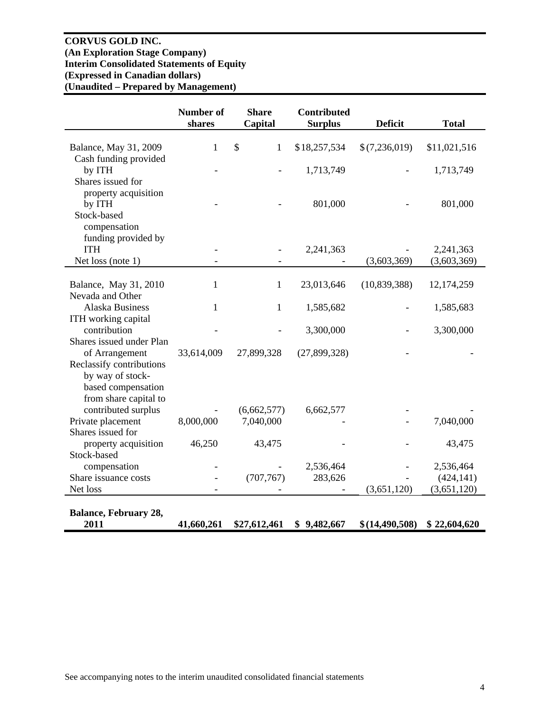# **CORVUS GOLD INC. (An Exploration Stage Company) Interim Consolidated Statements of Equity (Expressed in Canadian dollars) (Unaudited – Prepared by Management)**

|                                                                                      | <b>Number of</b><br>shares | <b>Share</b><br>Capital | <b>Contributed</b><br><b>Surplus</b> | <b>Deficit</b>   | <b>Total</b>              |
|--------------------------------------------------------------------------------------|----------------------------|-------------------------|--------------------------------------|------------------|---------------------------|
| Balance, May 31, 2009                                                                | 1                          | \$<br>1                 | \$18,257,534                         | \$(7,236,019)    | \$11,021,516              |
| Cash funding provided<br>by ITH<br>Shares issued for                                 |                            |                         | 1,713,749                            |                  | 1,713,749                 |
| property acquisition<br>by ITH<br>Stock-based<br>compensation                        |                            |                         | 801,000                              |                  | 801,000                   |
| funding provided by<br><b>ITH</b><br>Net loss (note 1)                               |                            |                         | 2,241,363                            | (3,603,369)      | 2,241,363<br>(3,603,369)  |
| Balance, May 31, 2010<br>Nevada and Other                                            | $\mathbf{1}$               | $\mathbf{1}$            | 23,013,646                           | (10,839,388)     | 12,174,259                |
| <b>Alaska Business</b>                                                               | $\mathbf{1}$               | $\mathbf{1}$            | 1,585,682                            |                  | 1,585,683                 |
| ITH working capital<br>contribution<br>Shares issued under Plan                      |                            |                         | 3,300,000                            |                  | 3,300,000                 |
| of Arrangement<br>Reclassify contributions<br>by way of stock-<br>based compensation | 33,614,009                 | 27,899,328              | (27,899,328)                         |                  |                           |
| from share capital to<br>contributed surplus                                         |                            | (6,662,577)             | 6,662,577                            |                  |                           |
| Private placement<br>Shares issued for                                               | 8,000,000                  | 7,040,000               |                                      |                  | 7,040,000                 |
| property acquisition                                                                 | 46,250                     | 43,475                  |                                      |                  | 43,475                    |
| Stock-based<br>compensation                                                          |                            |                         | 2,536,464                            |                  | 2,536,464                 |
| Share issuance costs<br>Net loss                                                     |                            | (707, 767)              | 283,626                              | (3,651,120)      | (424, 141)<br>(3,651,120) |
| <b>Balance, February 28,</b><br>2011                                                 | 41,660,261                 | \$27,612,461            | \$9,482,667                          | \$(14, 490, 508) | \$22,604,620              |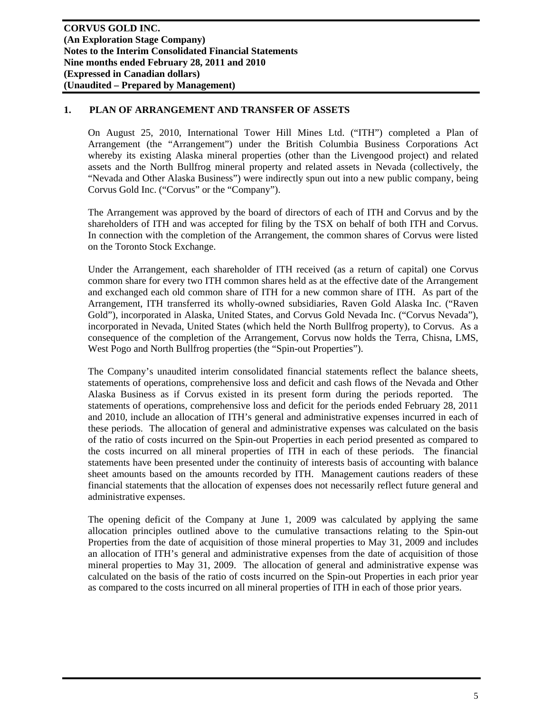## **1. PLAN OF ARRANGEMENT AND TRANSFER OF ASSETS**

On August 25, 2010, International Tower Hill Mines Ltd. ("ITH") completed a Plan of Arrangement (the "Arrangement") under the British Columbia Business Corporations Act whereby its existing Alaska mineral properties (other than the Livengood project) and related assets and the North Bullfrog mineral property and related assets in Nevada (collectively, the "Nevada and Other Alaska Business") were indirectly spun out into a new public company, being Corvus Gold Inc. ("Corvus" or the "Company").

The Arrangement was approved by the board of directors of each of ITH and Corvus and by the shareholders of ITH and was accepted for filing by the TSX on behalf of both ITH and Corvus. In connection with the completion of the Arrangement, the common shares of Corvus were listed on the Toronto Stock Exchange.

Under the Arrangement, each shareholder of ITH received (as a return of capital) one Corvus common share for every two ITH common shares held as at the effective date of the Arrangement and exchanged each old common share of ITH for a new common share of ITH. As part of the Arrangement, ITH transferred its wholly-owned subsidiaries, Raven Gold Alaska Inc. ("Raven Gold"), incorporated in Alaska, United States, and Corvus Gold Nevada Inc. ("Corvus Nevada"), incorporated in Nevada, United States (which held the North Bullfrog property), to Corvus. As a consequence of the completion of the Arrangement, Corvus now holds the Terra, Chisna, LMS, West Pogo and North Bullfrog properties (the "Spin-out Properties").

The Company's unaudited interim consolidated financial statements reflect the balance sheets, statements of operations, comprehensive loss and deficit and cash flows of the Nevada and Other Alaska Business as if Corvus existed in its present form during the periods reported. The statements of operations, comprehensive loss and deficit for the periods ended February 28, 2011 and 2010, include an allocation of ITH's general and administrative expenses incurred in each of these periods. The allocation of general and administrative expenses was calculated on the basis of the ratio of costs incurred on the Spin-out Properties in each period presented as compared to the costs incurred on all mineral properties of ITH in each of these periods. The financial statements have been presented under the continuity of interests basis of accounting with balance sheet amounts based on the amounts recorded by ITH. Management cautions readers of these financial statements that the allocation of expenses does not necessarily reflect future general and administrative expenses.

The opening deficit of the Company at June 1, 2009 was calculated by applying the same allocation principles outlined above to the cumulative transactions relating to the Spin-out Properties from the date of acquisition of those mineral properties to May 31, 2009 and includes an allocation of ITH's general and administrative expenses from the date of acquisition of those mineral properties to May 31, 2009. The allocation of general and administrative expense was calculated on the basis of the ratio of costs incurred on the Spin-out Properties in each prior year as compared to the costs incurred on all mineral properties of ITH in each of those prior years.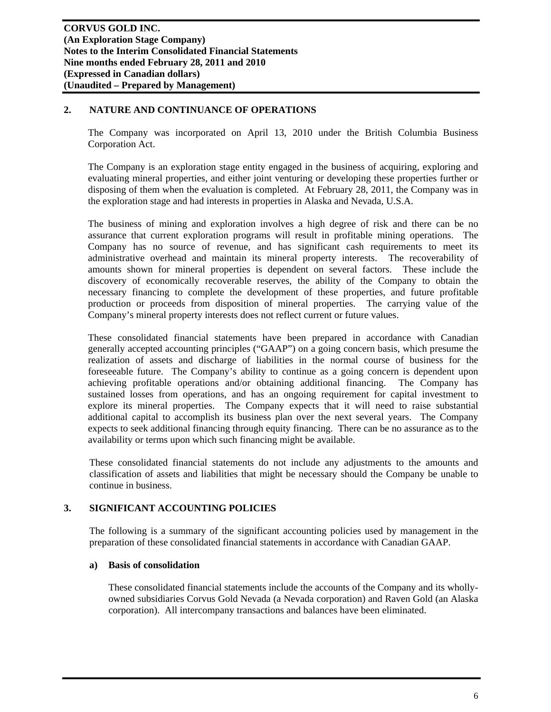## **2. NATURE AND CONTINUANCE OF OPERATIONS**

The Company was incorporated on April 13, 2010 under the British Columbia Business Corporation Act.

The Company is an exploration stage entity engaged in the business of acquiring, exploring and evaluating mineral properties, and either joint venturing or developing these properties further or disposing of them when the evaluation is completed. At February 28, 2011, the Company was in the exploration stage and had interests in properties in Alaska and Nevada, U.S.A.

The business of mining and exploration involves a high degree of risk and there can be no assurance that current exploration programs will result in profitable mining operations. The Company has no source of revenue, and has significant cash requirements to meet its administrative overhead and maintain its mineral property interests. The recoverability of amounts shown for mineral properties is dependent on several factors. These include the discovery of economically recoverable reserves, the ability of the Company to obtain the necessary financing to complete the development of these properties, and future profitable production or proceeds from disposition of mineral properties. The carrying value of the Company's mineral property interests does not reflect current or future values.

These consolidated financial statements have been prepared in accordance with Canadian generally accepted accounting principles ("GAAP") on a going concern basis, which presume the realization of assets and discharge of liabilities in the normal course of business for the foreseeable future. The Company's ability to continue as a going concern is dependent upon achieving profitable operations and/or obtaining additional financing. The Company has sustained losses from operations, and has an ongoing requirement for capital investment to explore its mineral properties. The Company expects that it will need to raise substantial additional capital to accomplish its business plan over the next several years. The Company expects to seek additional financing through equity financing. There can be no assurance as to the availability or terms upon which such financing might be available.

These consolidated financial statements do not include any adjustments to the amounts and classification of assets and liabilities that might be necessary should the Company be unable to continue in business.

## **3. SIGNIFICANT ACCOUNTING POLICIES**

The following is a summary of the significant accounting policies used by management in the preparation of these consolidated financial statements in accordance with Canadian GAAP.

#### **a) Basis of consolidation**

These consolidated financial statements include the accounts of the Company and its whollyowned subsidiaries Corvus Gold Nevada (a Nevada corporation) and Raven Gold (an Alaska corporation). All intercompany transactions and balances have been eliminated.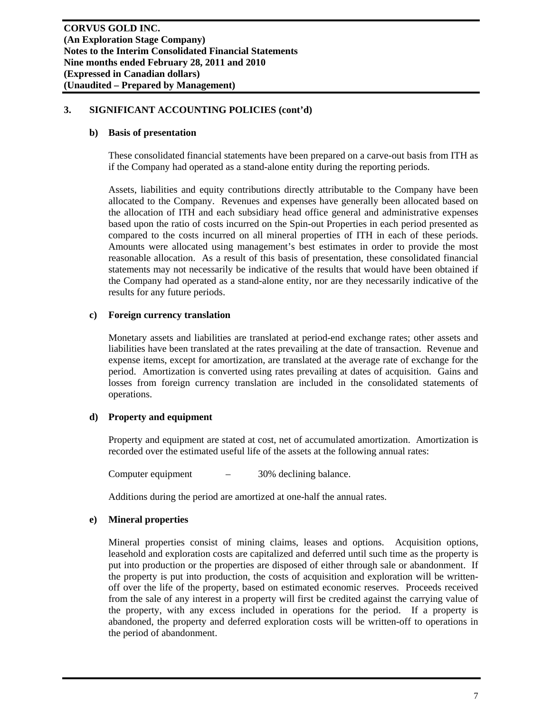#### **b) Basis of presentation**

These consolidated financial statements have been prepared on a carve-out basis from ITH as if the Company had operated as a stand-alone entity during the reporting periods.

Assets, liabilities and equity contributions directly attributable to the Company have been allocated to the Company. Revenues and expenses have generally been allocated based on the allocation of ITH and each subsidiary head office general and administrative expenses based upon the ratio of costs incurred on the Spin-out Properties in each period presented as compared to the costs incurred on all mineral properties of ITH in each of these periods. Amounts were allocated using management's best estimates in order to provide the most reasonable allocation. As a result of this basis of presentation, these consolidated financial statements may not necessarily be indicative of the results that would have been obtained if the Company had operated as a stand-alone entity, nor are they necessarily indicative of the results for any future periods.

#### **c) Foreign currency translation**

Monetary assets and liabilities are translated at period-end exchange rates; other assets and liabilities have been translated at the rates prevailing at the date of transaction. Revenue and expense items, except for amortization, are translated at the average rate of exchange for the period. Amortization is converted using rates prevailing at dates of acquisition. Gains and losses from foreign currency translation are included in the consolidated statements of operations.

## **d) Property and equipment**

Property and equipment are stated at cost, net of accumulated amortization. Amortization is recorded over the estimated useful life of the assets at the following annual rates:

Computer equipment – 30% declining balance.

Additions during the period are amortized at one-half the annual rates.

## **e) Mineral properties**

Mineral properties consist of mining claims, leases and options. Acquisition options, leasehold and exploration costs are capitalized and deferred until such time as the property is put into production or the properties are disposed of either through sale or abandonment. If the property is put into production, the costs of acquisition and exploration will be writtenoff over the life of the property, based on estimated economic reserves. Proceeds received from the sale of any interest in a property will first be credited against the carrying value of the property, with any excess included in operations for the period. If a property is abandoned, the property and deferred exploration costs will be written-off to operations in the period of abandonment.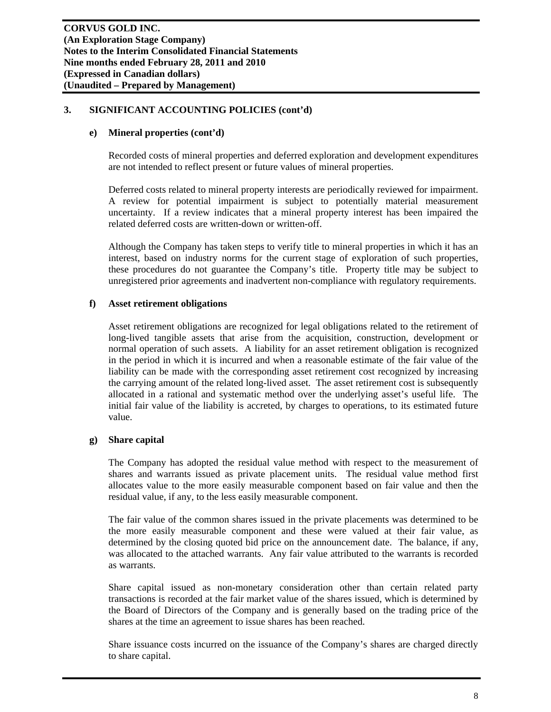# **e) Mineral properties (cont'd)**

Recorded costs of mineral properties and deferred exploration and development expenditures are not intended to reflect present or future values of mineral properties.

Deferred costs related to mineral property interests are periodically reviewed for impairment. A review for potential impairment is subject to potentially material measurement uncertainty. If a review indicates that a mineral property interest has been impaired the related deferred costs are written-down or written-off.

Although the Company has taken steps to verify title to mineral properties in which it has an interest, based on industry norms for the current stage of exploration of such properties, these procedures do not guarantee the Company's title. Property title may be subject to unregistered prior agreements and inadvertent non-compliance with regulatory requirements.

# **f) Asset retirement obligations**

Asset retirement obligations are recognized for legal obligations related to the retirement of long-lived tangible assets that arise from the acquisition, construction, development or normal operation of such assets. A liability for an asset retirement obligation is recognized in the period in which it is incurred and when a reasonable estimate of the fair value of the liability can be made with the corresponding asset retirement cost recognized by increasing the carrying amount of the related long-lived asset. The asset retirement cost is subsequently allocated in a rational and systematic method over the underlying asset's useful life. The initial fair value of the liability is accreted, by charges to operations, to its estimated future value.

## **g) Share capital**

The Company has adopted the residual value method with respect to the measurement of shares and warrants issued as private placement units. The residual value method first allocates value to the more easily measurable component based on fair value and then the residual value, if any, to the less easily measurable component.

The fair value of the common shares issued in the private placements was determined to be the more easily measurable component and these were valued at their fair value, as determined by the closing quoted bid price on the announcement date. The balance, if any, was allocated to the attached warrants. Any fair value attributed to the warrants is recorded as warrants.

Share capital issued as non-monetary consideration other than certain related party transactions is recorded at the fair market value of the shares issued, which is determined by the Board of Directors of the Company and is generally based on the trading price of the shares at the time an agreement to issue shares has been reached.

Share issuance costs incurred on the issuance of the Company's shares are charged directly to share capital.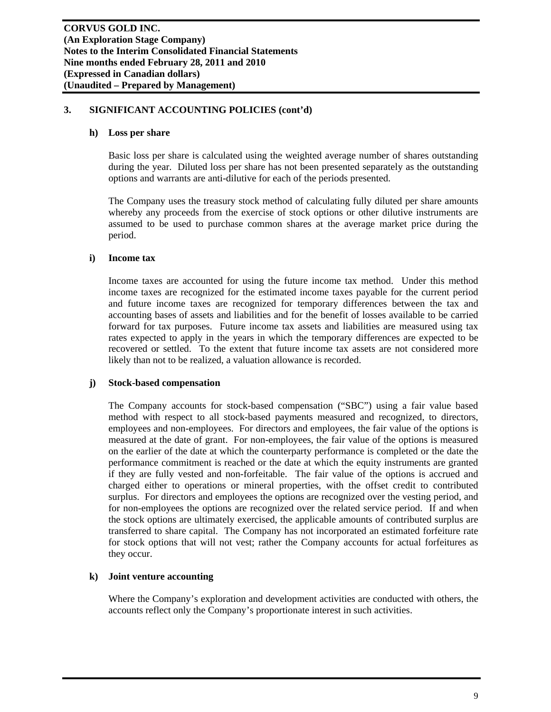#### **h) Loss per share**

Basic loss per share is calculated using the weighted average number of shares outstanding during the year. Diluted loss per share has not been presented separately as the outstanding options and warrants are anti-dilutive for each of the periods presented.

The Company uses the treasury stock method of calculating fully diluted per share amounts whereby any proceeds from the exercise of stock options or other dilutive instruments are assumed to be used to purchase common shares at the average market price during the period.

#### **i) Income tax**

Income taxes are accounted for using the future income tax method. Under this method income taxes are recognized for the estimated income taxes payable for the current period and future income taxes are recognized for temporary differences between the tax and accounting bases of assets and liabilities and for the benefit of losses available to be carried forward for tax purposes. Future income tax assets and liabilities are measured using tax rates expected to apply in the years in which the temporary differences are expected to be recovered or settled. To the extent that future income tax assets are not considered more likely than not to be realized, a valuation allowance is recorded.

## **j) Stock-based compensation**

The Company accounts for stock-based compensation ("SBC") using a fair value based method with respect to all stock-based payments measured and recognized, to directors, employees and non-employees. For directors and employees, the fair value of the options is measured at the date of grant. For non-employees, the fair value of the options is measured on the earlier of the date at which the counterparty performance is completed or the date the performance commitment is reached or the date at which the equity instruments are granted if they are fully vested and non-forfeitable. The fair value of the options is accrued and charged either to operations or mineral properties, with the offset credit to contributed surplus. For directors and employees the options are recognized over the vesting period, and for non-employees the options are recognized over the related service period. If and when the stock options are ultimately exercised, the applicable amounts of contributed surplus are transferred to share capital. The Company has not incorporated an estimated forfeiture rate for stock options that will not vest; rather the Company accounts for actual forfeitures as they occur.

## **k) Joint venture accounting**

Where the Company's exploration and development activities are conducted with others, the accounts reflect only the Company's proportionate interest in such activities.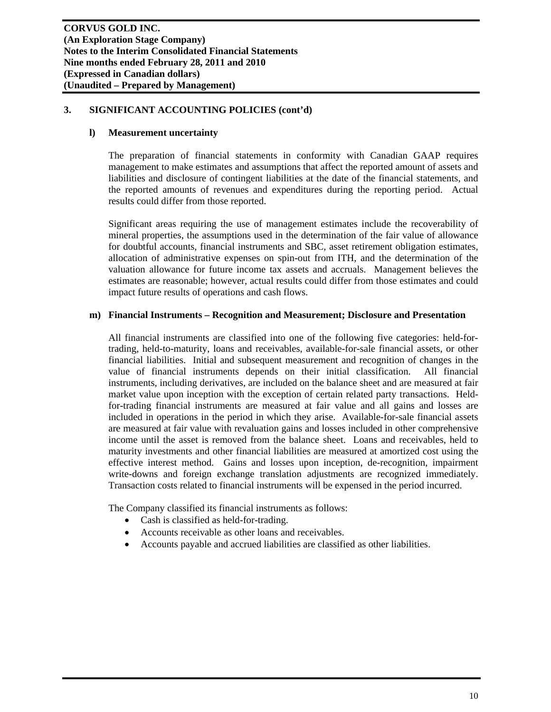#### **l) Measurement uncertainty**

The preparation of financial statements in conformity with Canadian GAAP requires management to make estimates and assumptions that affect the reported amount of assets and liabilities and disclosure of contingent liabilities at the date of the financial statements, and the reported amounts of revenues and expenditures during the reporting period. Actual results could differ from those reported.

Significant areas requiring the use of management estimates include the recoverability of mineral properties, the assumptions used in the determination of the fair value of allowance for doubtful accounts, financial instruments and SBC, asset retirement obligation estimates, allocation of administrative expenses on spin-out from ITH, and the determination of the valuation allowance for future income tax assets and accruals. Management believes the estimates are reasonable; however, actual results could differ from those estimates and could impact future results of operations and cash flows.

#### **m) Financial Instruments – Recognition and Measurement; Disclosure and Presentation**

All financial instruments are classified into one of the following five categories: held-fortrading, held-to-maturity, loans and receivables, available-for-sale financial assets, or other financial liabilities. Initial and subsequent measurement and recognition of changes in the value of financial instruments depends on their initial classification. All financial instruments, including derivatives, are included on the balance sheet and are measured at fair market value upon inception with the exception of certain related party transactions. Heldfor-trading financial instruments are measured at fair value and all gains and losses are included in operations in the period in which they arise. Available-for-sale financial assets are measured at fair value with revaluation gains and losses included in other comprehensive income until the asset is removed from the balance sheet. Loans and receivables, held to maturity investments and other financial liabilities are measured at amortized cost using the effective interest method. Gains and losses upon inception, de-recognition, impairment write-downs and foreign exchange translation adjustments are recognized immediately. Transaction costs related to financial instruments will be expensed in the period incurred.

The Company classified its financial instruments as follows:

- Cash is classified as held-for-trading.
- Accounts receivable as other loans and receivables.
- Accounts payable and accrued liabilities are classified as other liabilities.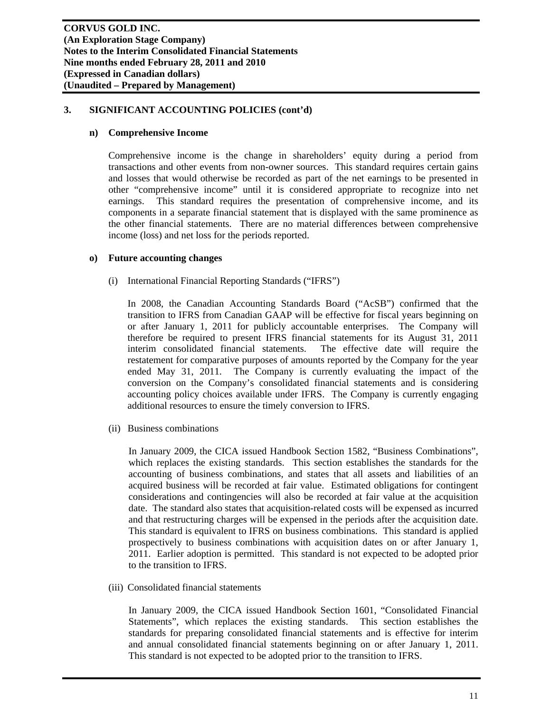#### **n) Comprehensive Income**

Comprehensive income is the change in shareholders' equity during a period from transactions and other events from non-owner sources. This standard requires certain gains and losses that would otherwise be recorded as part of the net earnings to be presented in other "comprehensive income" until it is considered appropriate to recognize into net earnings. This standard requires the presentation of comprehensive income, and its components in a separate financial statement that is displayed with the same prominence as the other financial statements. There are no material differences between comprehensive income (loss) and net loss for the periods reported.

#### **o) Future accounting changes**

(i) International Financial Reporting Standards ("IFRS")

In 2008, the Canadian Accounting Standards Board ("AcSB") confirmed that the transition to IFRS from Canadian GAAP will be effective for fiscal years beginning on or after January 1, 2011 for publicly accountable enterprises. The Company will therefore be required to present IFRS financial statements for its August 31, 2011 interim consolidated financial statements. The effective date will require the restatement for comparative purposes of amounts reported by the Company for the year ended May 31, 2011. The Company is currently evaluating the impact of the conversion on the Company's consolidated financial statements and is considering accounting policy choices available under IFRS. The Company is currently engaging additional resources to ensure the timely conversion to IFRS.

(ii) Business combinations

In January 2009, the CICA issued Handbook Section 1582, "Business Combinations", which replaces the existing standards. This section establishes the standards for the accounting of business combinations, and states that all assets and liabilities of an acquired business will be recorded at fair value. Estimated obligations for contingent considerations and contingencies will also be recorded at fair value at the acquisition date. The standard also states that acquisition-related costs will be expensed as incurred and that restructuring charges will be expensed in the periods after the acquisition date. This standard is equivalent to IFRS on business combinations. This standard is applied prospectively to business combinations with acquisition dates on or after January 1, 2011. Earlier adoption is permitted. This standard is not expected to be adopted prior to the transition to IFRS.

(iii) Consolidated financial statements

In January 2009, the CICA issued Handbook Section 1601, "Consolidated Financial Statements", which replaces the existing standards. This section establishes the standards for preparing consolidated financial statements and is effective for interim and annual consolidated financial statements beginning on or after January 1, 2011. This standard is not expected to be adopted prior to the transition to IFRS.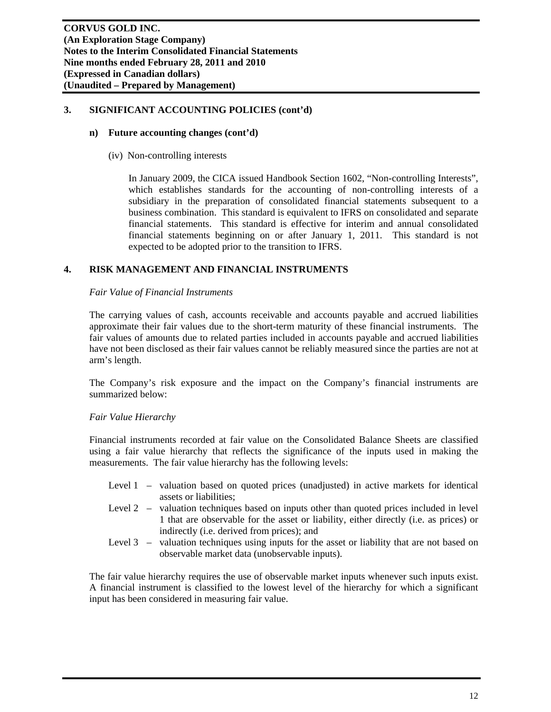#### **n) Future accounting changes (cont'd)**

(iv) Non-controlling interests

In January 2009, the CICA issued Handbook Section 1602, "Non-controlling Interests", which establishes standards for the accounting of non-controlling interests of a subsidiary in the preparation of consolidated financial statements subsequent to a business combination. This standard is equivalent to IFRS on consolidated and separate financial statements. This standard is effective for interim and annual consolidated financial statements beginning on or after January 1, 2011. This standard is not expected to be adopted prior to the transition to IFRS.

# **4. RISK MANAGEMENT AND FINANCIAL INSTRUMENTS**

#### *Fair Value of Financial Instruments*

The carrying values of cash, accounts receivable and accounts payable and accrued liabilities approximate their fair values due to the short-term maturity of these financial instruments. The fair values of amounts due to related parties included in accounts payable and accrued liabilities have not been disclosed as their fair values cannot be reliably measured since the parties are not at arm's length.

The Company's risk exposure and the impact on the Company's financial instruments are summarized below:

## *Fair Value Hierarchy*

Financial instruments recorded at fair value on the Consolidated Balance Sheets are classified using a fair value hierarchy that reflects the significance of the inputs used in making the measurements. The fair value hierarchy has the following levels:

- Level 1 valuation based on quoted prices (unadjusted) in active markets for identical assets or liabilities;
- Level 2 valuation techniques based on inputs other than quoted prices included in level 1 that are observable for the asset or liability, either directly (i.e. as prices) or indirectly (i.e. derived from prices); and
- Level 3 valuation techniques using inputs for the asset or liability that are not based on observable market data (unobservable inputs).

The fair value hierarchy requires the use of observable market inputs whenever such inputs exist. A financial instrument is classified to the lowest level of the hierarchy for which a significant input has been considered in measuring fair value.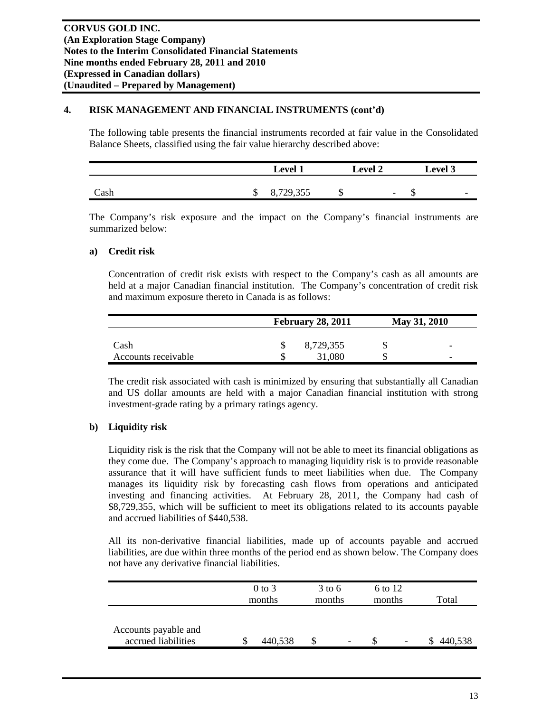# **4. RISK MANAGEMENT AND FINANCIAL INSTRUMENTS (cont'd)**

The following table presents the financial instruments recorded at fair value in the Consolidated Balance Sheets, classified using the fair value hierarchy described above:

|      |   | <b>Level</b> | <b>Level 2</b> |                          | <b>Level 3</b> |                          |  |
|------|---|--------------|----------------|--------------------------|----------------|--------------------------|--|
| Cash | ω | 8,729,355    | Ψ              | $\overline{\phantom{0}}$ | ╜              | $\overline{\phantom{0}}$ |  |

The Company's risk exposure and the impact on the Company's financial instruments are summarized below:

# **a) Credit risk**

Concentration of credit risk exists with respect to the Company's cash as all amounts are held at a major Canadian financial institution. The Company's concentration of credit risk and maximum exposure thereto in Canada is as follows:

|                     | <b>February 28, 2011</b> | May 31, 2010             |
|---------------------|--------------------------|--------------------------|
|                     |                          |                          |
| Cash                | 8,729,355                | $\overline{\phantom{0}}$ |
| Accounts receivable | 31,080                   | $\overline{\phantom{0}}$ |

The credit risk associated with cash is minimized by ensuring that substantially all Canadian and US dollar amounts are held with a major Canadian financial institution with strong investment-grade rating by a primary ratings agency.

# **b) Liquidity risk**

Liquidity risk is the risk that the Company will not be able to meet its financial obligations as they come due. The Company's approach to managing liquidity risk is to provide reasonable assurance that it will have sufficient funds to meet liabilities when due. The Company manages its liquidity risk by forecasting cash flows from operations and anticipated investing and financing activities. At February 28, 2011, the Company had cash of \$8,729,355, which will be sufficient to meet its obligations related to its accounts payable and accrued liabilities of \$440,538.

All its non-derivative financial liabilities, made up of accounts payable and accrued liabilities, are due within three months of the period end as shown below. The Company does not have any derivative financial liabilities.

|                                             |   | $0$ to 3<br>months |  | $3$ to 6<br>6 to 12<br>months<br>months |  |                          | Total |         |  |
|---------------------------------------------|---|--------------------|--|-----------------------------------------|--|--------------------------|-------|---------|--|
| Accounts payable and<br>accrued liabilities | J | 440,538            |  | $\overline{\phantom{0}}$                |  | $\overline{\phantom{a}}$ | ιD    | 440,538 |  |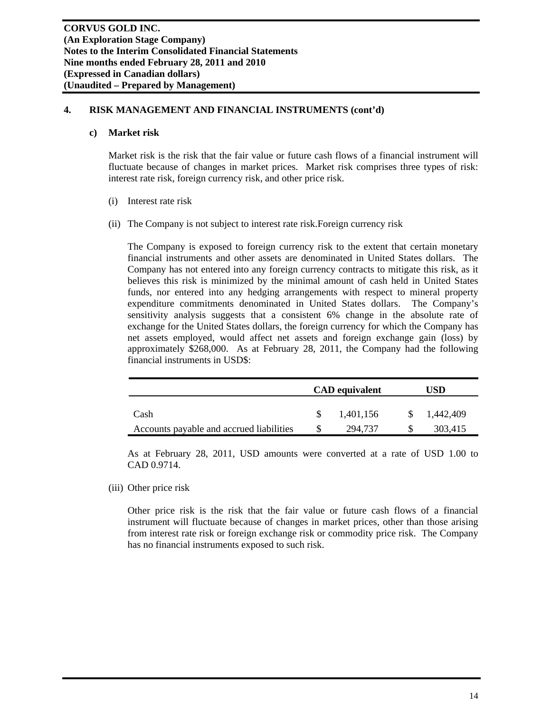## **4. RISK MANAGEMENT AND FINANCIAL INSTRUMENTS (cont'd)**

#### **c) Market risk**

Market risk is the risk that the fair value or future cash flows of a financial instrument will fluctuate because of changes in market prices. Market risk comprises three types of risk: interest rate risk, foreign currency risk, and other price risk.

- (i) Interest rate risk
- (ii) The Company is not subject to interest rate risk.Foreign currency risk

The Company is exposed to foreign currency risk to the extent that certain monetary financial instruments and other assets are denominated in United States dollars. The Company has not entered into any foreign currency contracts to mitigate this risk, as it believes this risk is minimized by the minimal amount of cash held in United States funds, nor entered into any hedging arrangements with respect to mineral property expenditure commitments denominated in United States dollars. The Company's sensitivity analysis suggests that a consistent 6% change in the absolute rate of exchange for the United States dollars, the foreign currency for which the Company has net assets employed, would affect net assets and foreign exchange gain (loss) by approximately \$268,000. As at February 28, 2011, the Company had the following financial instruments in USD\$:

|                                          | <b>CAD</b> equivalent |     | USD       |
|------------------------------------------|-----------------------|-----|-----------|
| Cash                                     | 1.401.156             | -SS | 1,442,409 |
| Accounts payable and accrued liabilities | 294.737               |     | 303,415   |

As at February 28, 2011, USD amounts were converted at a rate of USD 1.00 to CAD 0.9714.

(iii) Other price risk

Other price risk is the risk that the fair value or future cash flows of a financial instrument will fluctuate because of changes in market prices, other than those arising from interest rate risk or foreign exchange risk or commodity price risk. The Company has no financial instruments exposed to such risk.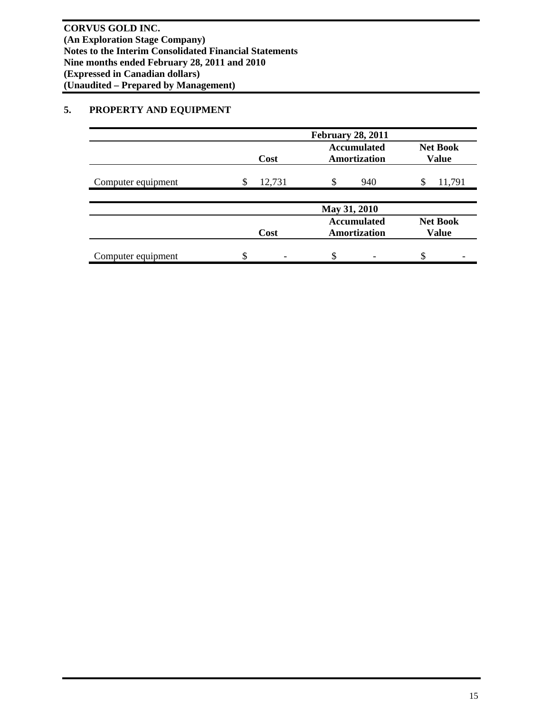# **5. PROPERTY AND EQUIPMENT**

|                    |    |        | <b>February 28, 2011</b> |                                    |                                 |        |
|--------------------|----|--------|--------------------------|------------------------------------|---------------------------------|--------|
|                    |    | Cost   |                          | <b>Accumulated</b><br>Amortization | <b>Net Book</b><br><b>Value</b> |        |
| Computer equipment | S  | 12,731 | \$                       | 940                                | S                               | 11,791 |
|                    |    |        | May 31, 2010             |                                    |                                 |        |
|                    |    | Cost   |                          | <b>Accumulated</b><br>Amortization | <b>Net Book</b><br><b>Value</b> |        |
| Computer equipment | \$ |        |                          |                                    |                                 |        |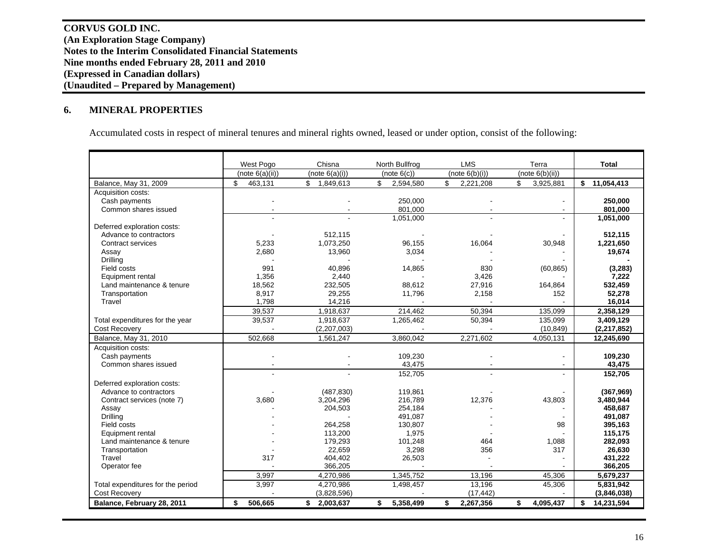**CORVUS GOLD INC. (An Exploration Stage Company) Notes to the Interim Consolidated Financial Statements Nine months ended February 28, 2011 and 2010 (Expressed in Canadian dollars) (Unaudited – Prepared by Management)** 

#### **6.MINERAL PROPERTIES**

Accumulated costs in respect of mineral tenures and mineral rights owned, leased or under option, consist of the following:

|                                   | West Pogo       | Chisna          | North Bullfrog  | <b>LMS</b>      | Terra           | <b>Total</b>     |
|-----------------------------------|-----------------|-----------------|-----------------|-----------------|-----------------|------------------|
|                                   | (note 6(a)(ii)) | (note 6(a)(i))  | (note 6(c))     | (note 6(b)(i))  | (note 6(b)(ii)) |                  |
| Balance, May 31, 2009             | \$<br>463,131   | \$<br>1,849,613 | \$<br>2,594,580 | \$<br>2,221,208 | \$<br>3,925,881 | \$<br>11,054,413 |
| Acquisition costs:                |                 |                 |                 |                 |                 |                  |
| Cash payments                     |                 |                 | 250.000         |                 |                 | 250,000          |
| Common shares issued              |                 |                 | 801.000         |                 |                 | 801,000          |
|                                   |                 |                 | 1,051,000       |                 |                 | 1,051,000        |
| Deferred exploration costs:       |                 |                 |                 |                 |                 |                  |
| Advance to contractors            |                 | 512,115         |                 |                 |                 | 512,115          |
| Contract services                 | 5,233           | 1,073,250       | 96,155          | 16,064          | 30,948          | 1,221,650        |
| Assay                             | 2.680           | 13,960          | 3,034           |                 |                 | 19,674           |
| Drilling                          |                 |                 |                 |                 |                 |                  |
| Field costs                       | 991             | 40,896          | 14,865          | 830             | (60, 865)       | (3, 283)         |
| Equipment rental                  | 1.356           | 2.440           |                 | 3,426           |                 | 7,222            |
| Land maintenance & tenure         | 18,562          | 232,505         | 88.612          | 27,916          | 164,864         | 532,459          |
| Transportation                    | 8,917           | 29,255          | 11,796          | 2,158           | 152             | 52,278           |
| Travel                            | 1,798           | 14,216          |                 |                 |                 | 16,014           |
|                                   | 39,537          | 1,918,637       | 214,462         | 50.394          | 135,099         | 2,358,129        |
| Total expenditures for the year   | 39,537          | 1,918,637       | 1,265,462       | 50,394          | 135,099         | 3,409,129        |
| Cost Recovery                     |                 | (2,207,003)     |                 |                 | (10, 849)       | (2,217,852)      |
| Balance, May 31, 2010             | 502,668         | 1,561,247       | 3,860,042       | 2,271,602       | 4,050,131       | 12,245,690       |
| Acquisition costs:                |                 |                 |                 |                 |                 |                  |
| Cash payments                     |                 |                 | 109,230         |                 |                 | 109,230          |
| Common shares issued              |                 |                 | 43,475          |                 |                 | 43,475           |
|                                   |                 | $\overline{a}$  | 152,705         |                 | $\sim$          | 152,705          |
| Deferred exploration costs:       |                 |                 |                 |                 |                 |                  |
| Advance to contractors            |                 | (487, 830)      | 119,861         |                 |                 | (367,969)        |
| Contract services (note 7)        | 3,680           | 3,204,296       | 216,789         | 12,376          | 43,803          | 3,480,944        |
| Assay                             |                 | 204,503         | 254,184         |                 |                 | 458,687          |
| Drilling                          |                 |                 | 491,087         |                 |                 | 491,087          |
| Field costs                       |                 | 264,258         | 130.807         |                 | 98              | 395,163          |
| Equipment rental                  |                 | 113,200         | 1,975           |                 |                 | 115,175          |
| Land maintenance & tenure         |                 | 179,293         | 101,248         | 464             | 1,088           | 282,093          |
| Transportation                    |                 | 22,659          | 3,298           | 356             | 317             | 26,630           |
| Travel                            | 317             | 404,402         | 26,503          |                 |                 | 431,222          |
| Operator fee                      |                 | 366,205         |                 |                 |                 | 366,205          |
|                                   | 3.997           | 4,270,986       | 1,345,752       | 13,196          | 45,306          | 5,679,237        |
| Total expenditures for the period | 3,997           | 4,270,986       | 1,498,457       | 13,196          | 45,306          | 5,831,942        |
| <b>Cost Recovery</b>              |                 | (3,828,596)     |                 | (17, 442)       |                 | (3,846,038)      |
| Balance, February 28, 2011        | 506,665<br>\$   | \$2,003,637     | 5,358,499<br>\$ | \$<br>2,267,356 | \$<br>4,095,437 | \$<br>14,231,594 |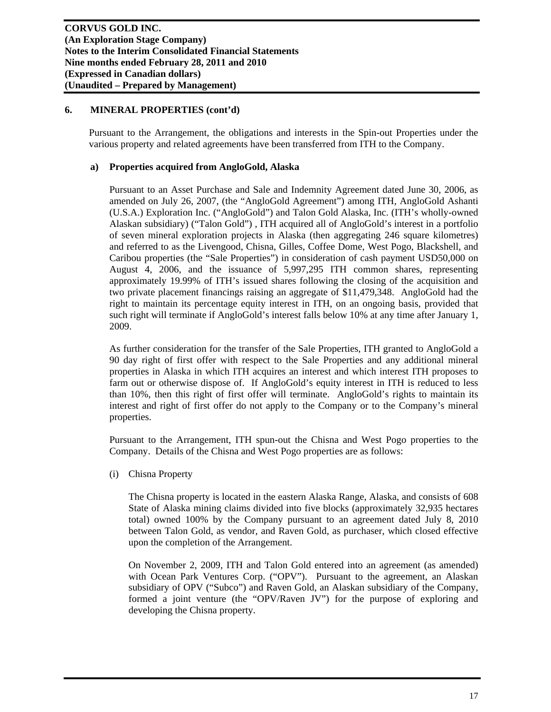Pursuant to the Arrangement, the obligations and interests in the Spin-out Properties under the various property and related agreements have been transferred from ITH to the Company.

# **a) Properties acquired from AngloGold, Alaska**

Pursuant to an Asset Purchase and Sale and Indemnity Agreement dated June 30, 2006, as amended on July 26, 2007, (the "AngloGold Agreement") among ITH, AngloGold Ashanti (U.S.A.) Exploration Inc. ("AngloGold") and Talon Gold Alaska, Inc. (ITH's wholly-owned Alaskan subsidiary) ("Talon Gold") , ITH acquired all of AngloGold's interest in a portfolio of seven mineral exploration projects in Alaska (then aggregating 246 square kilometres) and referred to as the Livengood, Chisna, Gilles, Coffee Dome, West Pogo, Blackshell, and Caribou properties (the "Sale Properties") in consideration of cash payment USD50,000 on August 4, 2006, and the issuance of 5,997,295 ITH common shares, representing approximately 19.99% of ITH's issued shares following the closing of the acquisition and two private placement financings raising an aggregate of \$11,479,348. AngloGold had the right to maintain its percentage equity interest in ITH, on an ongoing basis, provided that such right will terminate if AngloGold's interest falls below 10% at any time after January 1, 2009.

As further consideration for the transfer of the Sale Properties, ITH granted to AngloGold a 90 day right of first offer with respect to the Sale Properties and any additional mineral properties in Alaska in which ITH acquires an interest and which interest ITH proposes to farm out or otherwise dispose of. If AngloGold's equity interest in ITH is reduced to less than 10%, then this right of first offer will terminate. AngloGold's rights to maintain its interest and right of first offer do not apply to the Company or to the Company's mineral properties.

Pursuant to the Arrangement, ITH spun-out the Chisna and West Pogo properties to the Company. Details of the Chisna and West Pogo properties are as follows:

(i) Chisna Property

The Chisna property is located in the eastern Alaska Range, Alaska, and consists of 608 State of Alaska mining claims divided into five blocks (approximately 32,935 hectares total) owned 100% by the Company pursuant to an agreement dated July 8, 2010 between Talon Gold, as vendor, and Raven Gold, as purchaser, which closed effective upon the completion of the Arrangement.

On November 2, 2009, ITH and Talon Gold entered into an agreement (as amended) with Ocean Park Ventures Corp. ("OPV"). Pursuant to the agreement, an Alaskan subsidiary of OPV ("Subco") and Raven Gold, an Alaskan subsidiary of the Company, formed a joint venture (the "OPV/Raven JV") for the purpose of exploring and developing the Chisna property.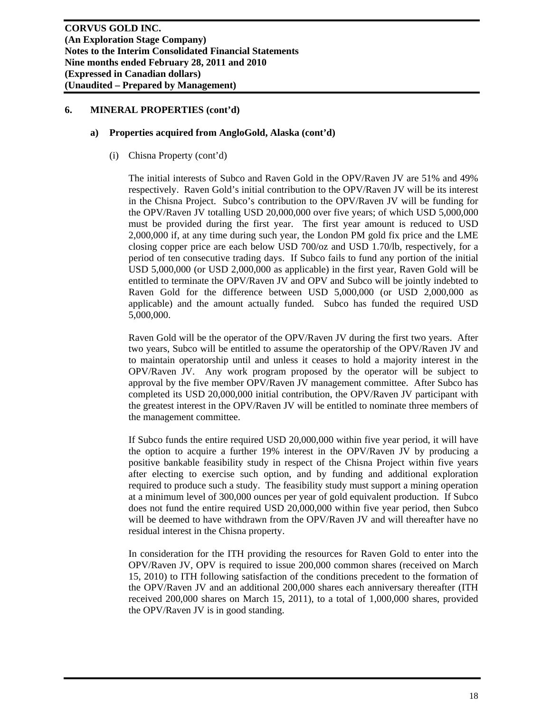#### **a) Properties acquired from AngloGold, Alaska (cont'd)**

(i) Chisna Property (cont'd)

The initial interests of Subco and Raven Gold in the OPV/Raven JV are 51% and 49% respectively. Raven Gold's initial contribution to the OPV/Raven JV will be its interest in the Chisna Project. Subco's contribution to the OPV/Raven JV will be funding for the OPV/Raven JV totalling USD 20,000,000 over five years; of which USD 5,000,000 must be provided during the first year. The first year amount is reduced to USD 2,000,000 if, at any time during such year, the London PM gold fix price and the LME closing copper price are each below USD 700/oz and USD 1.70/lb, respectively, for a period of ten consecutive trading days. If Subco fails to fund any portion of the initial USD 5,000,000 (or USD 2,000,000 as applicable) in the first year, Raven Gold will be entitled to terminate the OPV/Raven JV and OPV and Subco will be jointly indebted to Raven Gold for the difference between USD 5,000,000 (or USD 2,000,000 as applicable) and the amount actually funded. Subco has funded the required USD 5,000,000.

Raven Gold will be the operator of the OPV/Raven JV during the first two years. After two years, Subco will be entitled to assume the operatorship of the OPV/Raven JV and to maintain operatorship until and unless it ceases to hold a majority interest in the OPV/Raven JV. Any work program proposed by the operator will be subject to approval by the five member OPV/Raven JV management committee. After Subco has completed its USD 20,000,000 initial contribution, the OPV/Raven JV participant with the greatest interest in the OPV/Raven JV will be entitled to nominate three members of the management committee.

If Subco funds the entire required USD 20,000,000 within five year period, it will have the option to acquire a further 19% interest in the OPV/Raven JV by producing a positive bankable feasibility study in respect of the Chisna Project within five years after electing to exercise such option, and by funding and additional exploration required to produce such a study. The feasibility study must support a mining operation at a minimum level of 300,000 ounces per year of gold equivalent production. If Subco does not fund the entire required USD 20,000,000 within five year period, then Subco will be deemed to have withdrawn from the OPV/Raven JV and will thereafter have no residual interest in the Chisna property.

In consideration for the ITH providing the resources for Raven Gold to enter into the OPV/Raven JV, OPV is required to issue 200,000 common shares (received on March 15, 2010) to ITH following satisfaction of the conditions precedent to the formation of the OPV/Raven JV and an additional 200,000 shares each anniversary thereafter (ITH received 200,000 shares on March 15, 2011), to a total of 1,000,000 shares, provided the OPV/Raven JV is in good standing.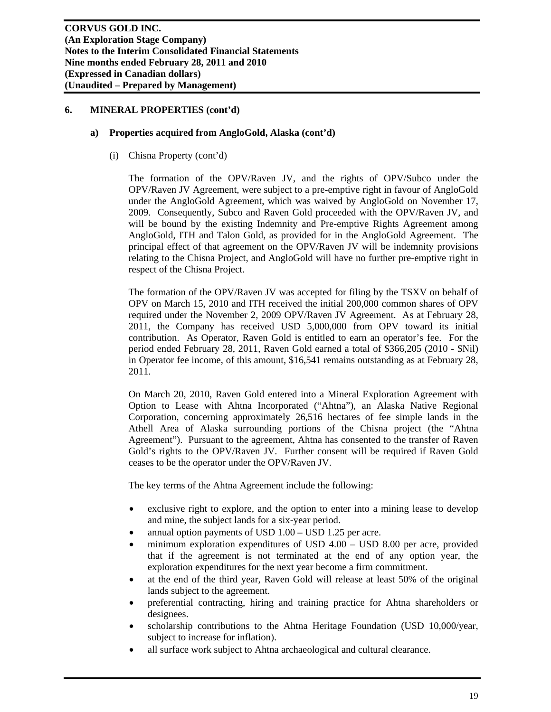#### **a) Properties acquired from AngloGold, Alaska (cont'd)**

(i) Chisna Property (cont'd)

The formation of the OPV/Raven JV, and the rights of OPV/Subco under the OPV/Raven JV Agreement, were subject to a pre-emptive right in favour of AngloGold under the AngloGold Agreement, which was waived by AngloGold on November 17, 2009. Consequently, Subco and Raven Gold proceeded with the OPV/Raven JV, and will be bound by the existing Indemnity and Pre-emptive Rights Agreement among AngloGold, ITH and Talon Gold, as provided for in the AngloGold Agreement. The principal effect of that agreement on the OPV/Raven JV will be indemnity provisions relating to the Chisna Project, and AngloGold will have no further pre-emptive right in respect of the Chisna Project.

The formation of the OPV/Raven JV was accepted for filing by the TSXV on behalf of OPV on March 15, 2010 and ITH received the initial 200,000 common shares of OPV required under the November 2, 2009 OPV/Raven JV Agreement. As at February 28, 2011, the Company has received USD 5,000,000 from OPV toward its initial contribution. As Operator, Raven Gold is entitled to earn an operator's fee. For the period ended February 28, 2011, Raven Gold earned a total of \$366,205 (2010 - \$Nil) in Operator fee income, of this amount, \$16,541 remains outstanding as at February 28, 2011.

On March 20, 2010, Raven Gold entered into a Mineral Exploration Agreement with Option to Lease with Ahtna Incorporated ("Ahtna"), an Alaska Native Regional Corporation, concerning approximately 26,516 hectares of fee simple lands in the Athell Area of Alaska surrounding portions of the Chisna project (the "Ahtna Agreement"). Pursuant to the agreement, Ahtna has consented to the transfer of Raven Gold's rights to the OPV/Raven JV. Further consent will be required if Raven Gold ceases to be the operator under the OPV/Raven JV.

The key terms of the Ahtna Agreement include the following:

- exclusive right to explore, and the option to enter into a mining lease to develop and mine, the subject lands for a six-year period.
- annual option payments of USD 1.00 USD 1.25 per acre.
- minimum exploration expenditures of USD 4.00 USD 8.00 per acre, provided that if the agreement is not terminated at the end of any option year, the exploration expenditures for the next year become a firm commitment.
- at the end of the third year, Raven Gold will release at least 50% of the original lands subject to the agreement.
- preferential contracting, hiring and training practice for Ahtna shareholders or designees.
- scholarship contributions to the Ahtna Heritage Foundation (USD 10,000/year, subject to increase for inflation).
- all surface work subject to Ahtna archaeological and cultural clearance.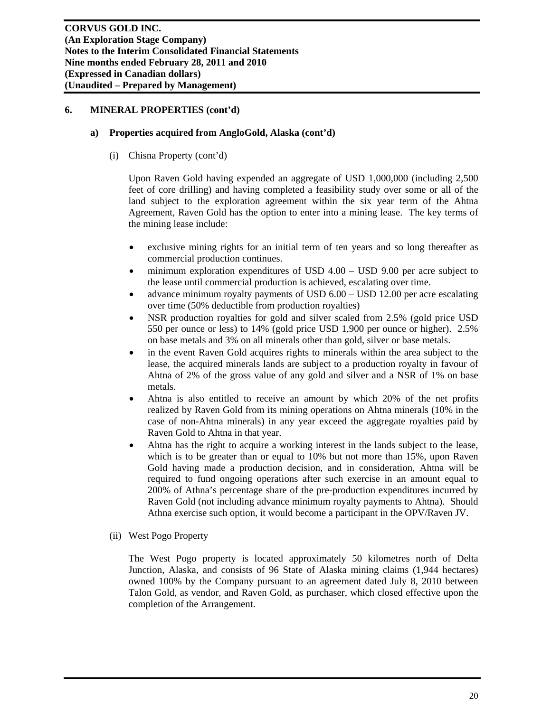#### **a) Properties acquired from AngloGold, Alaska (cont'd)**

(i) Chisna Property (cont'd)

Upon Raven Gold having expended an aggregate of USD 1,000,000 (including 2,500 feet of core drilling) and having completed a feasibility study over some or all of the land subject to the exploration agreement within the six year term of the Ahtna Agreement, Raven Gold has the option to enter into a mining lease. The key terms of the mining lease include:

- exclusive mining rights for an initial term of ten years and so long thereafter as commercial production continues.
- minimum exploration expenditures of USD 4.00 USD 9.00 per acre subject to the lease until commercial production is achieved, escalating over time.
- advance minimum royalty payments of USD 6.00 USD 12.00 per acre escalating over time (50% deductible from production royalties)
- NSR production royalties for gold and silver scaled from 2.5% (gold price USD 550 per ounce or less) to 14% (gold price USD 1,900 per ounce or higher). 2.5% on base metals and 3% on all minerals other than gold, silver or base metals.
- in the event Raven Gold acquires rights to minerals within the area subject to the lease, the acquired minerals lands are subject to a production royalty in favour of Ahtna of 2% of the gross value of any gold and silver and a NSR of 1% on base metals.
- Ahtna is also entitled to receive an amount by which 20% of the net profits realized by Raven Gold from its mining operations on Ahtna minerals (10% in the case of non-Ahtna minerals) in any year exceed the aggregate royalties paid by Raven Gold to Ahtna in that year.
- Ahtna has the right to acquire a working interest in the lands subject to the lease, which is to be greater than or equal to 10% but not more than 15%, upon Raven Gold having made a production decision, and in consideration, Ahtna will be required to fund ongoing operations after such exercise in an amount equal to 200% of Athna's percentage share of the pre-production expenditures incurred by Raven Gold (not including advance minimum royalty payments to Ahtna). Should Athna exercise such option, it would become a participant in the OPV/Raven JV.
- (ii) West Pogo Property

The West Pogo property is located approximately 50 kilometres north of Delta Junction, Alaska, and consists of 96 State of Alaska mining claims (1,944 hectares) owned 100% by the Company pursuant to an agreement dated July 8, 2010 between Talon Gold, as vendor, and Raven Gold, as purchaser, which closed effective upon the completion of the Arrangement.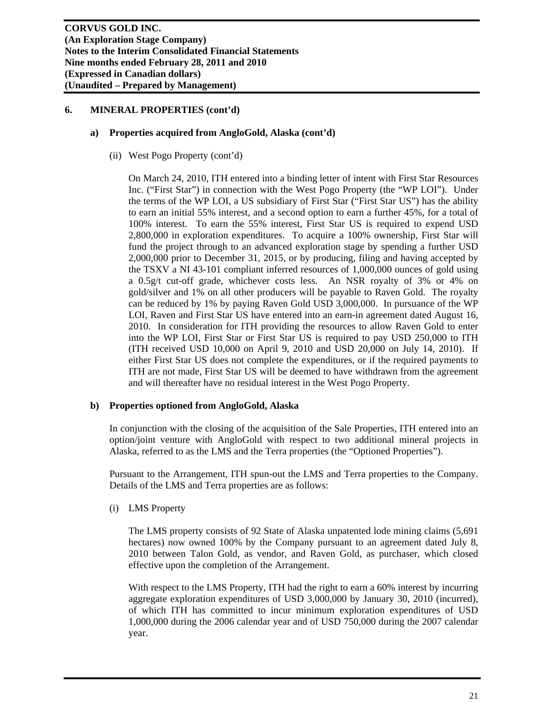#### **a) Properties acquired from AngloGold, Alaska (cont'd)**

(ii) West Pogo Property (cont'd)

On March 24, 2010, ITH entered into a binding letter of intent with First Star Resources Inc. ("First Star") in connection with the West Pogo Property (the "WP LOI"). Under the terms of the WP LOI, a US subsidiary of First Star ("First Star US") has the ability to earn an initial 55% interest, and a second option to earn a further 45%, for a total of 100% interest. To earn the 55% interest, First Star US is required to expend USD 2,800,000 in exploration expenditures. To acquire a 100% ownership, First Star will fund the project through to an advanced exploration stage by spending a further USD 2,000,000 prior to December 31, 2015, or by producing, filing and having accepted by the TSXV a NI 43-101 compliant inferred resources of 1,000,000 ounces of gold using a 0.5g/t cut-off grade, whichever costs less. An NSR royalty of 3% or 4% on gold/silver and 1% on all other producers will be payable to Raven Gold. The royalty can be reduced by 1% by paying Raven Gold USD 3,000,000. In pursuance of the WP LOI, Raven and First Star US have entered into an earn-in agreement dated August 16, 2010. In consideration for ITH providing the resources to allow Raven Gold to enter into the WP LOI, First Star or First Star US is required to pay USD 250,000 to ITH (ITH received USD 10,000 on April 9, 2010 and USD 20,000 on July 14, 2010). If either First Star US does not complete the expenditures, or if the required payments to ITH are not made, First Star US will be deemed to have withdrawn from the agreement and will thereafter have no residual interest in the West Pogo Property.

## **b) Properties optioned from AngloGold, Alaska**

In conjunction with the closing of the acquisition of the Sale Properties, ITH entered into an option/joint venture with AngloGold with respect to two additional mineral projects in Alaska, referred to as the LMS and the Terra properties (the "Optioned Properties").

Pursuant to the Arrangement, ITH spun-out the LMS and Terra properties to the Company. Details of the LMS and Terra properties are as follows:

(i) LMS Property

The LMS property consists of 92 State of Alaska unpatented lode mining claims (5,691 hectares) now owned 100% by the Company pursuant to an agreement dated July 8, 2010 between Talon Gold, as vendor, and Raven Gold, as purchaser, which closed effective upon the completion of the Arrangement.

With respect to the LMS Property, ITH had the right to earn a 60% interest by incurring aggregate exploration expenditures of USD 3,000,000 by January 30, 2010 (incurred), of which ITH has committed to incur minimum exploration expenditures of USD 1,000,000 during the 2006 calendar year and of USD 750,000 during the 2007 calendar year.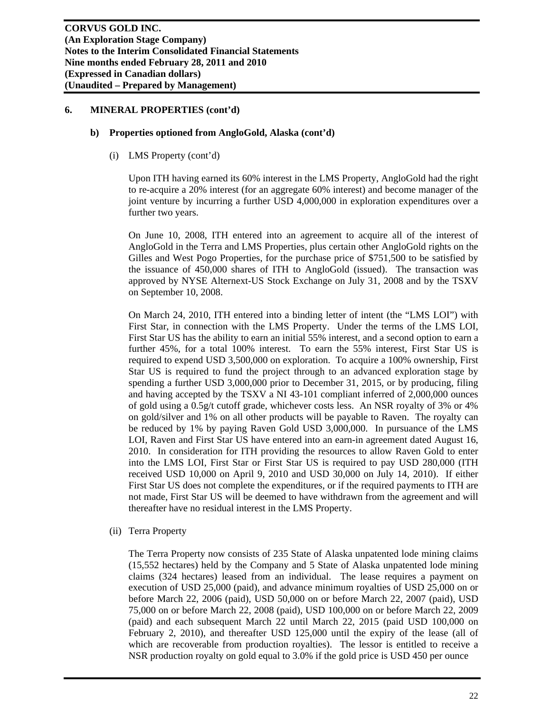#### **b) Properties optioned from AngloGold, Alaska (cont'd)**

(i) LMS Property (cont'd)

Upon ITH having earned its 60% interest in the LMS Property, AngloGold had the right to re-acquire a 20% interest (for an aggregate 60% interest) and become manager of the joint venture by incurring a further USD 4,000,000 in exploration expenditures over a further two years.

On June 10, 2008, ITH entered into an agreement to acquire all of the interest of AngloGold in the Terra and LMS Properties, plus certain other AngloGold rights on the Gilles and West Pogo Properties, for the purchase price of \$751,500 to be satisfied by the issuance of 450,000 shares of ITH to AngloGold (issued). The transaction was approved by NYSE Alternext-US Stock Exchange on July 31, 2008 and by the TSXV on September 10, 2008.

On March 24, 2010, ITH entered into a binding letter of intent (the "LMS LOI") with First Star, in connection with the LMS Property. Under the terms of the LMS LOI, First Star US has the ability to earn an initial 55% interest, and a second option to earn a further 45%, for a total 100% interest. To earn the 55% interest, First Star US is required to expend USD 3,500,000 on exploration. To acquire a 100% ownership, First Star US is required to fund the project through to an advanced exploration stage by spending a further USD 3,000,000 prior to December 31, 2015, or by producing, filing and having accepted by the TSXV a NI 43-101 compliant inferred of 2,000,000 ounces of gold using a 0.5g/t cutoff grade, whichever costs less. An NSR royalty of 3% or 4% on gold/silver and 1% on all other products will be payable to Raven. The royalty can be reduced by 1% by paying Raven Gold USD 3,000,000. In pursuance of the LMS LOI, Raven and First Star US have entered into an earn-in agreement dated August 16, 2010. In consideration for ITH providing the resources to allow Raven Gold to enter into the LMS LOI, First Star or First Star US is required to pay USD 280,000 (ITH received USD 10,000 on April 9, 2010 and USD 30,000 on July 14, 2010). If either First Star US does not complete the expenditures, or if the required payments to ITH are not made, First Star US will be deemed to have withdrawn from the agreement and will thereafter have no residual interest in the LMS Property.

(ii) Terra Property

The Terra Property now consists of 235 State of Alaska unpatented lode mining claims (15,552 hectares) held by the Company and 5 State of Alaska unpatented lode mining claims (324 hectares) leased from an individual. The lease requires a payment on execution of USD 25,000 (paid), and advance minimum royalties of USD 25,000 on or before March 22, 2006 (paid), USD 50,000 on or before March 22, 2007 (paid), USD 75,000 on or before March 22, 2008 (paid), USD 100,000 on or before March 22, 2009 (paid) and each subsequent March 22 until March 22, 2015 (paid USD 100,000 on February 2, 2010), and thereafter USD 125,000 until the expiry of the lease (all of which are recoverable from production royalties). The lessor is entitled to receive a NSR production royalty on gold equal to 3.0% if the gold price is USD 450 per ounce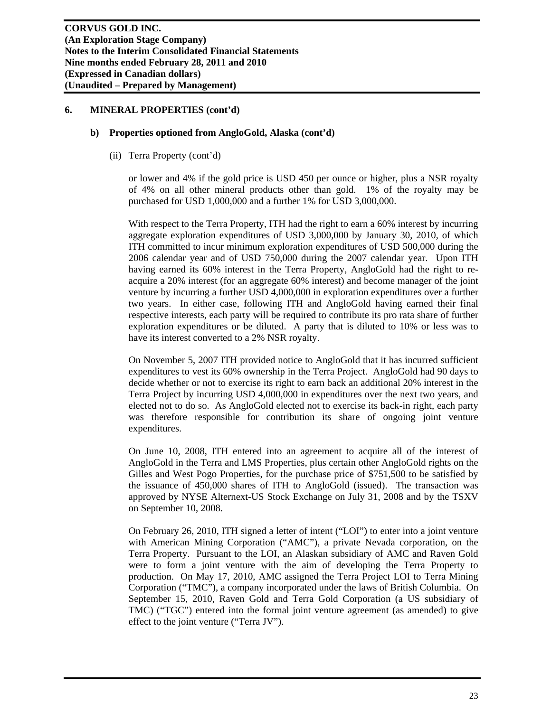#### **b) Properties optioned from AngloGold, Alaska (cont'd)**

(ii) Terra Property (cont'd)

or lower and 4% if the gold price is USD 450 per ounce or higher, plus a NSR royalty of 4% on all other mineral products other than gold. 1% of the royalty may be purchased for USD 1,000,000 and a further 1% for USD 3,000,000.

With respect to the Terra Property, ITH had the right to earn a 60% interest by incurring aggregate exploration expenditures of USD 3,000,000 by January 30, 2010, of which ITH committed to incur minimum exploration expenditures of USD 500,000 during the 2006 calendar year and of USD 750,000 during the 2007 calendar year. Upon ITH having earned its 60% interest in the Terra Property, AngloGold had the right to reacquire a 20% interest (for an aggregate 60% interest) and become manager of the joint venture by incurring a further USD 4,000,000 in exploration expenditures over a further two years. In either case, following ITH and AngloGold having earned their final respective interests, each party will be required to contribute its pro rata share of further exploration expenditures or be diluted. A party that is diluted to 10% or less was to have its interest converted to a 2% NSR royalty.

On November 5, 2007 ITH provided notice to AngloGold that it has incurred sufficient expenditures to vest its 60% ownership in the Terra Project. AngloGold had 90 days to decide whether or not to exercise its right to earn back an additional 20% interest in the Terra Project by incurring USD 4,000,000 in expenditures over the next two years, and elected not to do so. As AngloGold elected not to exercise its back-in right, each party was therefore responsible for contribution its share of ongoing joint venture expenditures.

On June 10, 2008, ITH entered into an agreement to acquire all of the interest of AngloGold in the Terra and LMS Properties, plus certain other AngloGold rights on the Gilles and West Pogo Properties, for the purchase price of \$751,500 to be satisfied by the issuance of 450,000 shares of ITH to AngloGold (issued). The transaction was approved by NYSE Alternext-US Stock Exchange on July 31, 2008 and by the TSXV on September 10, 2008.

On February 26, 2010, ITH signed a letter of intent ("LOI") to enter into a joint venture with American Mining Corporation ("AMC"), a private Nevada corporation, on the Terra Property. Pursuant to the LOI, an Alaskan subsidiary of AMC and Raven Gold were to form a joint venture with the aim of developing the Terra Property to production. On May 17, 2010, AMC assigned the Terra Project LOI to Terra Mining Corporation ("TMC"), a company incorporated under the laws of British Columbia. On September 15, 2010, Raven Gold and Terra Gold Corporation (a US subsidiary of TMC) ("TGC") entered into the formal joint venture agreement (as amended) to give effect to the joint venture ("Terra JV").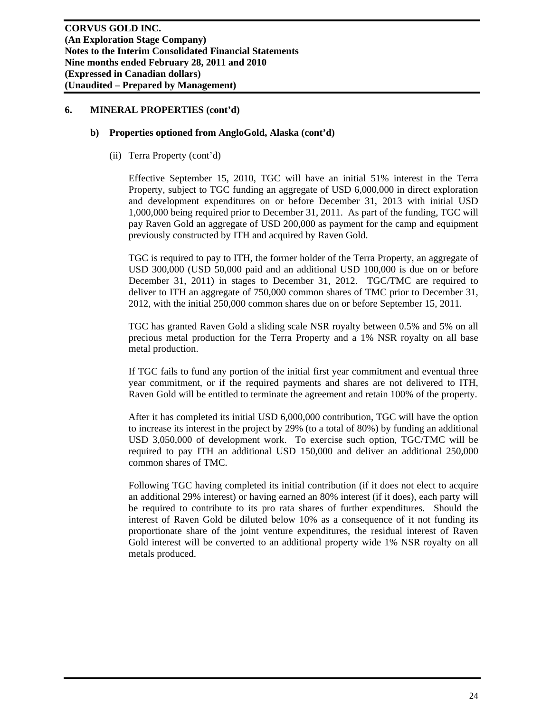#### **b) Properties optioned from AngloGold, Alaska (cont'd)**

(ii) Terra Property (cont'd)

Effective September 15, 2010, TGC will have an initial 51% interest in the Terra Property, subject to TGC funding an aggregate of USD 6,000,000 in direct exploration and development expenditures on or before December 31, 2013 with initial USD 1,000,000 being required prior to December 31, 2011. As part of the funding, TGC will pay Raven Gold an aggregate of USD 200,000 as payment for the camp and equipment previously constructed by ITH and acquired by Raven Gold.

TGC is required to pay to ITH, the former holder of the Terra Property, an aggregate of USD 300,000 (USD 50,000 paid and an additional USD 100,000 is due on or before December 31, 2011) in stages to December 31, 2012. TGC/TMC are required to deliver to ITH an aggregate of 750,000 common shares of TMC prior to December 31, 2012, with the initial 250,000 common shares due on or before September 15, 2011.

TGC has granted Raven Gold a sliding scale NSR royalty between 0.5% and 5% on all precious metal production for the Terra Property and a 1% NSR royalty on all base metal production.

If TGC fails to fund any portion of the initial first year commitment and eventual three year commitment, or if the required payments and shares are not delivered to ITH, Raven Gold will be entitled to terminate the agreement and retain 100% of the property.

After it has completed its initial USD 6,000,000 contribution, TGC will have the option to increase its interest in the project by 29% (to a total of 80%) by funding an additional USD 3,050,000 of development work. To exercise such option, TGC/TMC will be required to pay ITH an additional USD 150,000 and deliver an additional 250,000 common shares of TMC.

Following TGC having completed its initial contribution (if it does not elect to acquire an additional 29% interest) or having earned an 80% interest (if it does), each party will be required to contribute to its pro rata shares of further expenditures. Should the interest of Raven Gold be diluted below 10% as a consequence of it not funding its proportionate share of the joint venture expenditures, the residual interest of Raven Gold interest will be converted to an additional property wide 1% NSR royalty on all metals produced.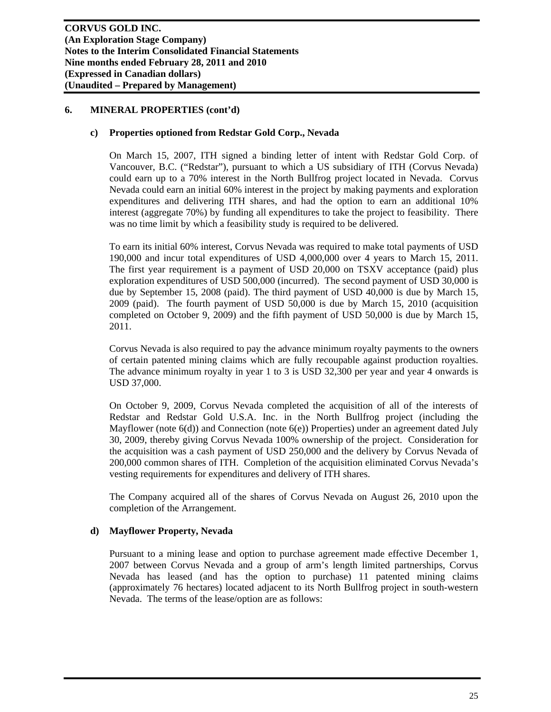#### **c) Properties optioned from Redstar Gold Corp., Nevada**

On March 15, 2007, ITH signed a binding letter of intent with Redstar Gold Corp. of Vancouver, B.C. ("Redstar"), pursuant to which a US subsidiary of ITH (Corvus Nevada) could earn up to a 70% interest in the North Bullfrog project located in Nevada. Corvus Nevada could earn an initial 60% interest in the project by making payments and exploration expenditures and delivering ITH shares, and had the option to earn an additional 10% interest (aggregate 70%) by funding all expenditures to take the project to feasibility. There was no time limit by which a feasibility study is required to be delivered.

To earn its initial 60% interest, Corvus Nevada was required to make total payments of USD 190,000 and incur total expenditures of USD 4,000,000 over 4 years to March 15, 2011. The first year requirement is a payment of USD 20,000 on TSXV acceptance (paid) plus exploration expenditures of USD 500,000 (incurred). The second payment of USD 30,000 is due by September 15, 2008 (paid). The third payment of USD 40,000 is due by March 15, 2009 (paid). The fourth payment of USD 50,000 is due by March 15, 2010 (acquisition completed on October 9, 2009) and the fifth payment of USD 50,000 is due by March 15, 2011.

Corvus Nevada is also required to pay the advance minimum royalty payments to the owners of certain patented mining claims which are fully recoupable against production royalties. The advance minimum royalty in year 1 to 3 is USD 32,300 per year and year 4 onwards is USD 37,000.

On October 9, 2009, Corvus Nevada completed the acquisition of all of the interests of Redstar and Redstar Gold U.S.A. Inc. in the North Bullfrog project (including the Mayflower (note 6(d)) and Connection (note 6(e)) Properties) under an agreement dated July 30, 2009, thereby giving Corvus Nevada 100% ownership of the project. Consideration for the acquisition was a cash payment of USD 250,000 and the delivery by Corvus Nevada of 200,000 common shares of ITH. Completion of the acquisition eliminated Corvus Nevada's vesting requirements for expenditures and delivery of ITH shares.

The Company acquired all of the shares of Corvus Nevada on August 26, 2010 upon the completion of the Arrangement.

## **d) Mayflower Property, Nevada**

Pursuant to a mining lease and option to purchase agreement made effective December 1, 2007 between Corvus Nevada and a group of arm's length limited partnerships, Corvus Nevada has leased (and has the option to purchase) 11 patented mining claims (approximately 76 hectares) located adjacent to its North Bullfrog project in south-western Nevada. The terms of the lease/option are as follows: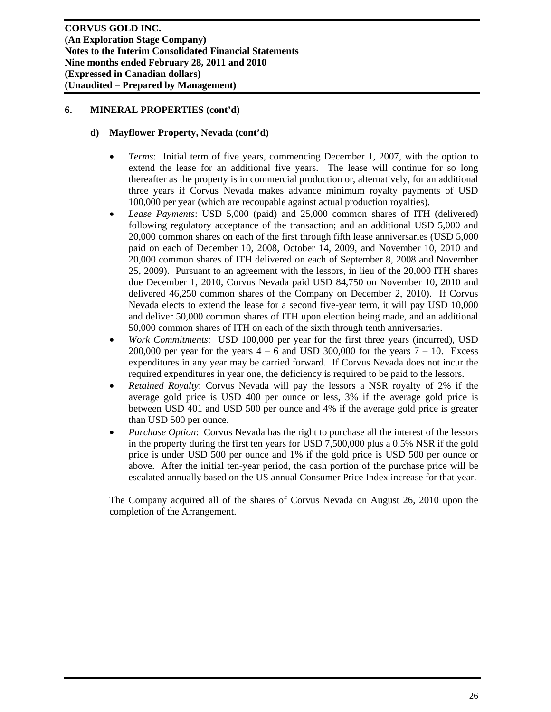#### **d) Mayflower Property, Nevada (cont'd)**

- *Terms*: Initial term of five years, commencing December 1, 2007, with the option to extend the lease for an additional five years. The lease will continue for so long thereafter as the property is in commercial production or, alternatively, for an additional three years if Corvus Nevada makes advance minimum royalty payments of USD 100,000 per year (which are recoupable against actual production royalties).
- *Lease Payments*: USD 5,000 (paid) and 25,000 common shares of ITH (delivered) following regulatory acceptance of the transaction; and an additional USD 5,000 and 20,000 common shares on each of the first through fifth lease anniversaries (USD 5,000 paid on each of December 10, 2008, October 14, 2009, and November 10, 2010 and 20,000 common shares of ITH delivered on each of September 8, 2008 and November 25, 2009). Pursuant to an agreement with the lessors, in lieu of the 20,000 ITH shares due December 1, 2010, Corvus Nevada paid USD 84,750 on November 10, 2010 and delivered 46,250 common shares of the Company on December 2, 2010). If Corvus Nevada elects to extend the lease for a second five-year term, it will pay USD 10,000 and deliver 50,000 common shares of ITH upon election being made, and an additional 50,000 common shares of ITH on each of the sixth through tenth anniversaries.
- *Work Commitments*: USD 100,000 per year for the first three years (incurred), USD 200,000 per year for the years  $4 - 6$  and USD 300,000 for the years  $7 - 10$ . Excess expenditures in any year may be carried forward. If Corvus Nevada does not incur the required expenditures in year one, the deficiency is required to be paid to the lessors.
- *Retained Royalty*: Corvus Nevada will pay the lessors a NSR royalty of 2% if the average gold price is USD 400 per ounce or less, 3% if the average gold price is between USD 401 and USD 500 per ounce and 4% if the average gold price is greater than USD 500 per ounce.
- *Purchase Option*: Corvus Nevada has the right to purchase all the interest of the lessors in the property during the first ten years for USD 7,500,000 plus a 0.5% NSR if the gold price is under USD 500 per ounce and 1% if the gold price is USD 500 per ounce or above. After the initial ten-year period, the cash portion of the purchase price will be escalated annually based on the US annual Consumer Price Index increase for that year.

The Company acquired all of the shares of Corvus Nevada on August 26, 2010 upon the completion of the Arrangement.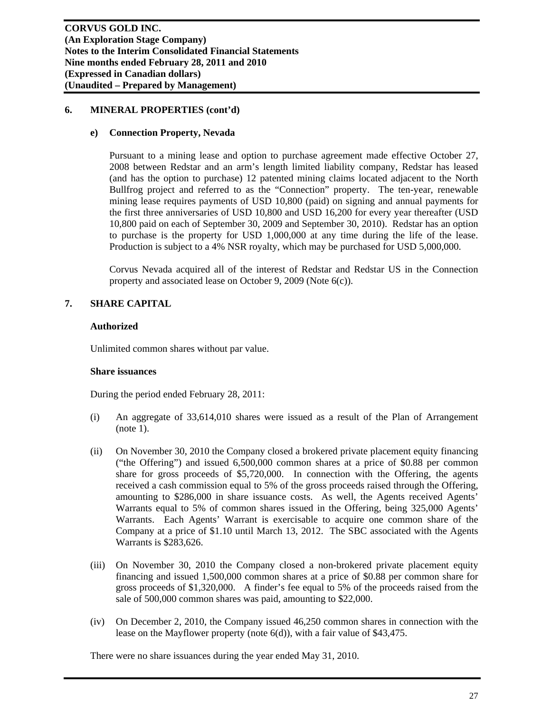#### **e) Connection Property, Nevada**

Pursuant to a mining lease and option to purchase agreement made effective October 27, 2008 between Redstar and an arm's length limited liability company, Redstar has leased (and has the option to purchase) 12 patented mining claims located adjacent to the North Bullfrog project and referred to as the "Connection" property. The ten-year, renewable mining lease requires payments of USD 10,800 (paid) on signing and annual payments for the first three anniversaries of USD 10,800 and USD 16,200 for every year thereafter (USD 10,800 paid on each of September 30, 2009 and September 30, 2010). Redstar has an option to purchase is the property for USD 1,000,000 at any time during the life of the lease. Production is subject to a 4% NSR royalty, which may be purchased for USD 5,000,000.

Corvus Nevada acquired all of the interest of Redstar and Redstar US in the Connection property and associated lease on October 9, 2009 (Note 6(c)).

## **7. SHARE CAPITAL**

#### **Authorized**

Unlimited common shares without par value.

#### **Share issuances**

During the period ended February 28, 2011:

- (i) An aggregate of 33,614,010 shares were issued as a result of the Plan of Arrangement (note 1).
- (ii) On November 30, 2010 the Company closed a brokered private placement equity financing ("the Offering") and issued 6,500,000 common shares at a price of \$0.88 per common share for gross proceeds of \$5,720,000. In connection with the Offering, the agents received a cash commission equal to 5% of the gross proceeds raised through the Offering, amounting to \$286,000 in share issuance costs. As well, the Agents received Agents' Warrants equal to 5% of common shares issued in the Offering, being 325,000 Agents' Warrants. Each Agents' Warrant is exercisable to acquire one common share of the Company at a price of \$1.10 until March 13, 2012. The SBC associated with the Agents Warrants is \$283,626.
- (iii) On November 30, 2010 the Company closed a non-brokered private placement equity financing and issued 1,500,000 common shares at a price of \$0.88 per common share for gross proceeds of \$1,320,000. A finder's fee equal to 5% of the proceeds raised from the sale of 500,000 common shares was paid, amounting to \$22,000.
- (iv) On December 2, 2010, the Company issued 46,250 common shares in connection with the lease on the Mayflower property (note 6(d)), with a fair value of \$43,475.

There were no share issuances during the year ended May 31, 2010.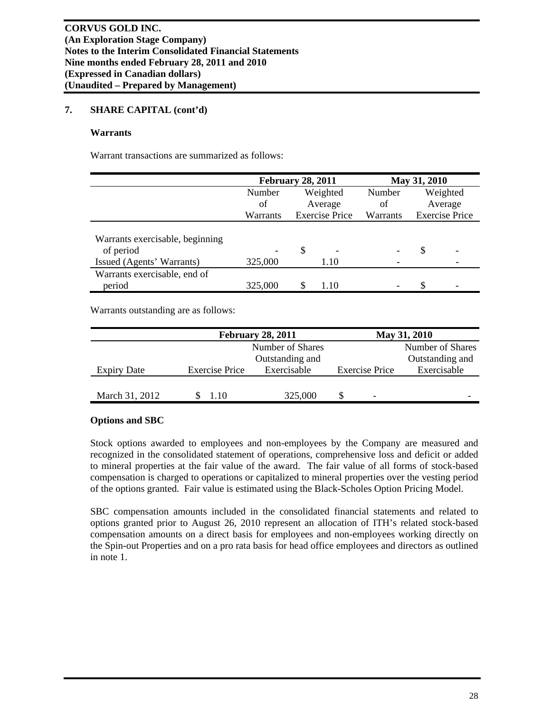#### **Warrants**

Warrant transactions are summarized as follows:

|                                              | <b>February 28, 2011</b> |          |                       | May 31, 2010 |   |                       |
|----------------------------------------------|--------------------------|----------|-----------------------|--------------|---|-----------------------|
|                                              | Number                   | Weighted |                       | Number       |   | Weighted              |
|                                              | of                       |          | Average               | οf           |   | Average               |
|                                              | Warrants                 |          | <b>Exercise Price</b> | Warrants     |   | <b>Exercise Price</b> |
| Warrants exercisable, beginning<br>of period |                          | S        |                       |              | S |                       |
| Issued (Agents' Warrants)                    | 325,000                  |          | 1.10                  |              |   |                       |
| Warrants exercisable, end of                 |                          |          |                       |              |   |                       |
| period                                       | 325,000                  |          | 1.10                  |              | S |                       |

Warrants outstanding are as follows:

|                    |                       | <b>February 28, 2011</b> | May 31, 2010          |                  |             |  |  |
|--------------------|-----------------------|--------------------------|-----------------------|------------------|-------------|--|--|
|                    |                       | Number of Shares         |                       | Number of Shares |             |  |  |
|                    |                       | Outstanding and          | Outstanding and       |                  |             |  |  |
| <b>Expiry Date</b> | <b>Exercise Price</b> | Exercisable              | <b>Exercise Price</b> |                  | Exercisable |  |  |
| March 31, 2012     | 1.10                  | 325,000                  |                       | ٠                |             |  |  |

## **Options and SBC**

Stock options awarded to employees and non-employees by the Company are measured and recognized in the consolidated statement of operations, comprehensive loss and deficit or added to mineral properties at the fair value of the award. The fair value of all forms of stock-based compensation is charged to operations or capitalized to mineral properties over the vesting period of the options granted. Fair value is estimated using the Black-Scholes Option Pricing Model.

SBC compensation amounts included in the consolidated financial statements and related to options granted prior to August 26, 2010 represent an allocation of ITH's related stock-based compensation amounts on a direct basis for employees and non-employees working directly on the Spin-out Properties and on a pro rata basis for head office employees and directors as outlined in note 1.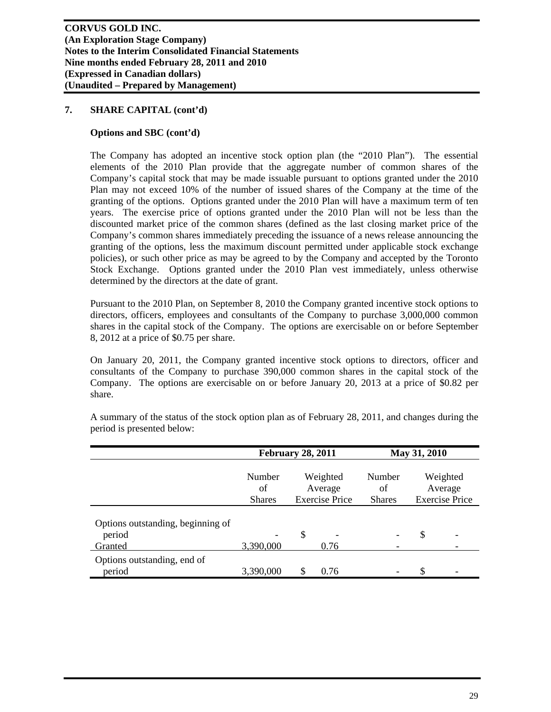#### **Options and SBC (cont'd)**

The Company has adopted an incentive stock option plan (the "2010 Plan"). The essential elements of the 2010 Plan provide that the aggregate number of common shares of the Company's capital stock that may be made issuable pursuant to options granted under the 2010 Plan may not exceed 10% of the number of issued shares of the Company at the time of the granting of the options. Options granted under the 2010 Plan will have a maximum term of ten years. The exercise price of options granted under the 2010 Plan will not be less than the discounted market price of the common shares (defined as the last closing market price of the Company's common shares immediately preceding the issuance of a news release announcing the granting of the options, less the maximum discount permitted under applicable stock exchange policies), or such other price as may be agreed to by the Company and accepted by the Toronto Stock Exchange. Options granted under the 2010 Plan vest immediately, unless otherwise determined by the directors at the date of grant.

Pursuant to the 2010 Plan, on September 8, 2010 the Company granted incentive stock options to directors, officers, employees and consultants of the Company to purchase 3,000,000 common shares in the capital stock of the Company. The options are exercisable on or before September 8, 2012 at a price of \$0.75 per share.

On January 20, 2011, the Company granted incentive stock options to directors, officer and consultants of the Company to purchase 390,000 common shares in the capital stock of the Company. The options are exercisable on or before January 20, 2013 at a price of \$0.82 per share.

|                                                        | <b>February 28, 2011</b>      |                                              | May 31, 2010 |                               |    |                                              |
|--------------------------------------------------------|-------------------------------|----------------------------------------------|--------------|-------------------------------|----|----------------------------------------------|
|                                                        | Number<br>of<br><b>Shares</b> | Weighted<br>Average<br><b>Exercise Price</b> |              | Number<br>of<br><b>Shares</b> |    | Weighted<br>Average<br><b>Exercise Price</b> |
| Options outstanding, beginning of<br>period<br>Granted | 3,390,000                     | \$                                           | 0.76         |                               | \$ |                                              |
| Options outstanding, end of<br>period                  | 3,390,000                     | S                                            | 0.76         |                               | \$ |                                              |

A summary of the status of the stock option plan as of February 28, 2011, and changes during the period is presented below: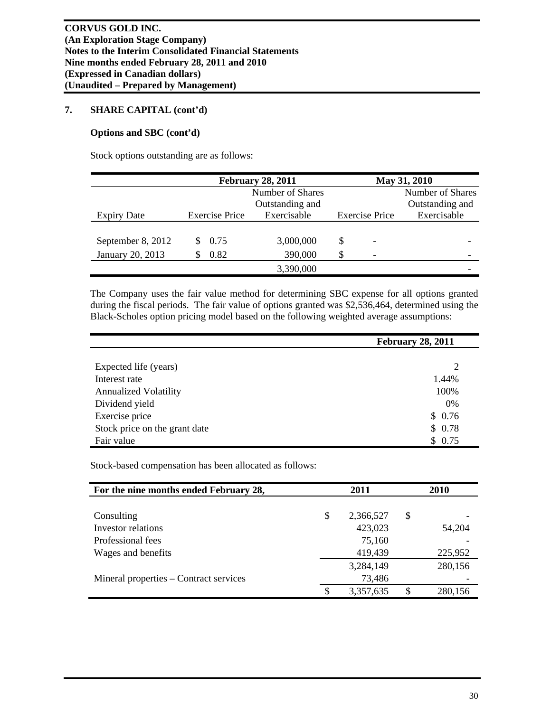#### **Options and SBC (cont'd)**

Stock options outstanding are as follows:

|                    | <b>February 28, 2011</b> |                  |                       |   | May 31, 2010     |
|--------------------|--------------------------|------------------|-----------------------|---|------------------|
|                    |                          | Number of Shares |                       |   | Number of Shares |
|                    |                          | Outstanding and  | Outstanding and       |   |                  |
| <b>Expiry Date</b> | <b>Exercise Price</b>    | Exercisable      | <b>Exercise Price</b> |   | Exercisable      |
|                    |                          |                  |                       |   |                  |
| September 8, 2012  | 0.75                     | 3,000,000        | \$                    | ۰ |                  |
| January 20, 2013   | 0.82                     | 390,000          | \$                    |   |                  |
|                    |                          | 3,390,000        |                       |   |                  |

The Company uses the fair value method for determining SBC expense for all options granted during the fiscal periods. The fair value of options granted was \$2,536,464, determined using the Black-Scholes option pricing model based on the following weighted average assumptions:

|                               | <b>February 28, 2011</b> |
|-------------------------------|--------------------------|
|                               |                          |
| Expected life (years)         | 2                        |
| Interest rate                 | 1.44%                    |
| <b>Annualized Volatility</b>  | 100%                     |
| Dividend yield                | 0%                       |
| Exercise price                | \$0.76                   |
| Stock price on the grant date | \$0.78                   |
| Fair value                    | \$0.75                   |

Stock-based compensation has been allocated as follows:

| For the nine months ended February 28, | 2011            |   | 2010    |
|----------------------------------------|-----------------|---|---------|
|                                        |                 |   |         |
| Consulting                             | \$<br>2,366,527 | S |         |
| Investor relations                     | 423,023         |   | 54,204  |
| Professional fees                      | 75,160          |   |         |
| Wages and benefits                     | 419,439         |   | 225,952 |
|                                        | 3,284,149       |   | 280,156 |
| Mineral properties – Contract services | 73,486          |   |         |
|                                        | \$<br>3,357,635 |   | 280,156 |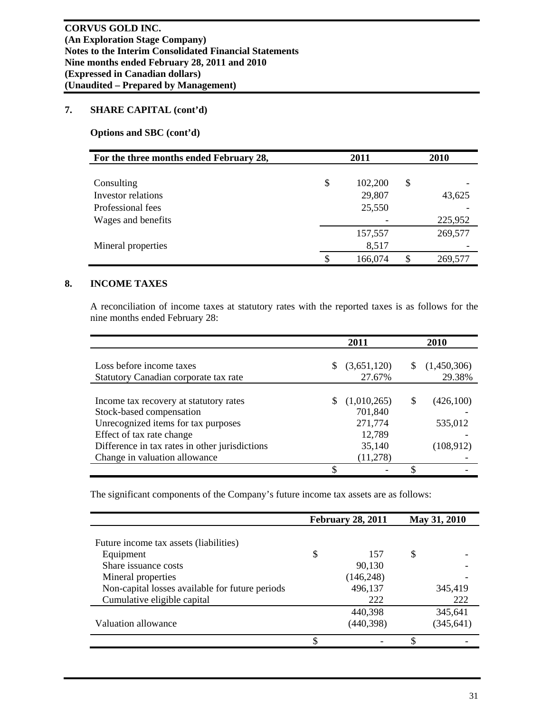**Options and SBC (cont'd)** 

| For the three months ended February 28, | 2011          |    | 2010    |
|-----------------------------------------|---------------|----|---------|
|                                         |               |    |         |
| Consulting                              | \$<br>102,200 | \$ |         |
| <b>Investor relations</b>               | 29,807        |    | 43,625  |
| Professional fees                       | 25,550        |    |         |
| Wages and benefits                      |               |    | 225,952 |
|                                         | 157,557       |    | 269,577 |
| Mineral properties                      | 8,517         |    |         |
|                                         | \$<br>166,074 | S  | 269,577 |

## **8. INCOME TAXES**

A reconciliation of income taxes at statutory rates with the reported taxes is as follows for the nine months ended February 28:

|                                                                                                                                                                                                                           | 2011                                                              |    | 2010                              |
|---------------------------------------------------------------------------------------------------------------------------------------------------------------------------------------------------------------------------|-------------------------------------------------------------------|----|-----------------------------------|
| Loss before income taxes<br>Statutory Canadian corporate tax rate                                                                                                                                                         | (3,651,120)<br>27.67%                                             | S  | (1,450,306)<br>29.38%             |
| Income tax recovery at statutory rates<br>Stock-based compensation<br>Unrecognized items for tax purposes<br>Effect of tax rate change<br>Difference in tax rates in other jurisdictions<br>Change in valuation allowance | (1,010,265)<br>701,840<br>271,774<br>12,789<br>35,140<br>(11,278) | \$ | (426,100)<br>535,012<br>(108,912) |
|                                                                                                                                                                                                                           |                                                                   | S  |                                   |

The significant components of the Company's future income tax assets are as follows:

|                                                 |   | <b>February 28, 2011</b> |   | May 31, 2010 |
|-------------------------------------------------|---|--------------------------|---|--------------|
|                                                 |   |                          |   |              |
| Future income tax assets (liabilities)          |   |                          |   |              |
| Equipment                                       | S | 157                      | S |              |
| Share issuance costs                            |   | 90,130                   |   |              |
| Mineral properties                              |   | (146, 248)               |   |              |
| Non-capital losses available for future periods |   | 496,137                  |   | 345,419      |
| Cumulative eligible capital                     |   | 222                      |   | 222          |
|                                                 |   | 440,398                  |   | 345,641      |
| Valuation allowance                             |   | (440, 398)               |   | (345, 641)   |
|                                                 | ጥ |                          | ¢ |              |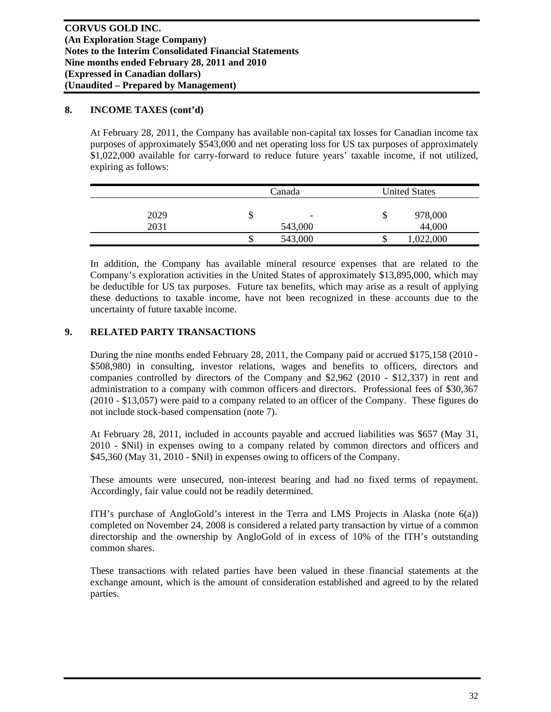#### **8. INCOME TAXES (cont'd)**

At February 28, 2011, the Company has available non-capital tax losses for Canadian income tax purposes of approximately \$543,000 and net operating loss for US tax purposes of approximately \$1,022,000 available for carry-forward to reduce future years' taxable income, if not utilized, expiring as follows:

|      |    | Canada                   |     | <b>United States</b> |  |
|------|----|--------------------------|-----|----------------------|--|
| 2029 | J  | $\overline{\phantom{0}}$ | ۰D  | 978,000              |  |
| 2031 |    | 543,000                  |     | 44,000               |  |
|      | ιD | 543,000                  | ۲IJ | ,022,000             |  |

In addition, the Company has available mineral resource expenses that are related to the Company's exploration activities in the United States of approximately \$13,895,000, which may be deductible for US tax purposes. Future tax benefits, which may arise as a result of applying these deductions to taxable income, have not been recognized in these accounts due to the uncertainty of future taxable income.

# **9. RELATED PARTY TRANSACTIONS**

During the nine months ended February 28, 2011, the Company paid or accrued \$175,158 (2010 - \$508,980) in consulting, investor relations, wages and benefits to officers, directors and companies controlled by directors of the Company and \$2,962 (2010 - \$12,337) in rent and administration to a company with common officers and directors. Professional fees of \$30,367 (2010 - \$13,057) were paid to a company related to an officer of the Company. These figures do not include stock-based compensation (note 7).

At February 28, 2011, included in accounts payable and accrued liabilities was \$657 (May 31, 2010 - \$Nil) in expenses owing to a company related by common directors and officers and \$45,360 (May 31, 2010 - \$Nil) in expenses owing to officers of the Company.

These amounts were unsecured, non-interest bearing and had no fixed terms of repayment. Accordingly, fair value could not be readily determined.

ITH's purchase of AngloGold's interest in the Terra and LMS Projects in Alaska (note  $6(a)$ ) completed on November 24, 2008 is considered a related party transaction by virtue of a common directorship and the ownership by AngloGold of in excess of 10% of the ITH's outstanding common shares.

These transactions with related parties have been valued in these financial statements at the exchange amount, which is the amount of consideration established and agreed to by the related parties.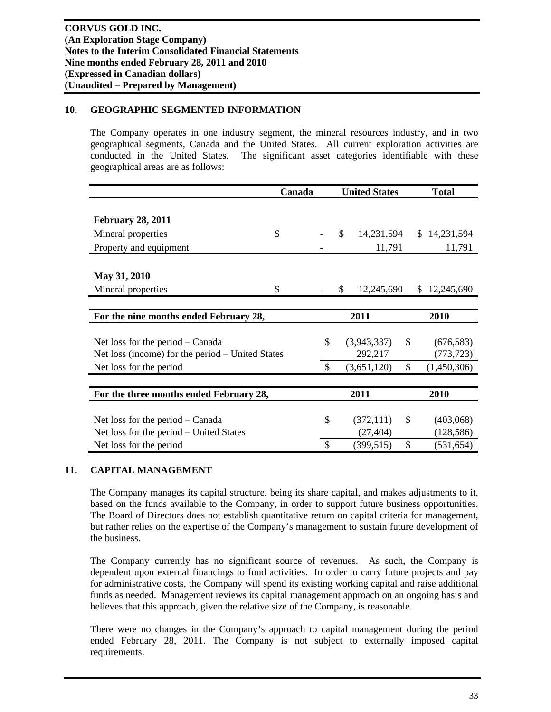# **10. GEOGRAPHIC SEGMENTED INFORMATION**

The Company operates in one industry segment, the mineral resources industry, and in two geographical segments, Canada and the United States. All current exploration activities are conducted in the United States. The significant asset categories identifiable with these geographical areas are as follows:

|                                                  | Canada |               | <b>United States</b> |             |              | <b>Total</b>      |  |  |
|--------------------------------------------------|--------|---------------|----------------------|-------------|--------------|-------------------|--|--|
|                                                  |        |               |                      |             |              |                   |  |  |
| <b>February 28, 2011</b>                         |        |               |                      |             |              |                   |  |  |
| Mineral properties                               | \$     |               | \$                   | 14,231,594  |              | \$14,231,594      |  |  |
| Property and equipment                           |        |               |                      | 11,791      |              | 11,791            |  |  |
|                                                  |        |               |                      |             |              |                   |  |  |
| May 31, 2010                                     |        |               |                      |             |              |                   |  |  |
| Mineral properties                               | \$     |               | \$                   | 12,245,690  |              | 12,245,690<br>\$. |  |  |
|                                                  |        |               |                      |             |              |                   |  |  |
| For the nine months ended February 28,           |        | 2011          |                      |             |              | 2010              |  |  |
|                                                  |        |               |                      |             |              |                   |  |  |
| Net loss for the period – Canada                 |        | \$            |                      | (3,943,337) | \$           | (676, 583)        |  |  |
| Net loss (income) for the period – United States |        |               |                      | 292,217     |              | (773, 723)        |  |  |
| Net loss for the period                          |        | $\mathcal{S}$ |                      | (3,651,120) | $\mathbb{S}$ | (1,450,306)       |  |  |
|                                                  |        |               |                      |             |              |                   |  |  |
| For the three months ended February 28,          |        |               |                      | 2011        |              | 2010              |  |  |
|                                                  |        |               |                      |             |              |                   |  |  |
| Net loss for the period – Canada                 |        | \$            |                      | (372, 111)  | \$           | (403,068)         |  |  |
| Net loss for the period – United States          |        |               |                      | (27, 404)   |              | (128, 586)        |  |  |
| Net loss for the period                          |        | \$            |                      | (399, 515)  | \$           | (531, 654)        |  |  |

## **11. CAPITAL MANAGEMENT**

The Company manages its capital structure, being its share capital, and makes adjustments to it, based on the funds available to the Company, in order to support future business opportunities. The Board of Directors does not establish quantitative return on capital criteria for management, but rather relies on the expertise of the Company's management to sustain future development of the business.

The Company currently has no significant source of revenues. As such, the Company is dependent upon external financings to fund activities. In order to carry future projects and pay for administrative costs, the Company will spend its existing working capital and raise additional funds as needed. Management reviews its capital management approach on an ongoing basis and believes that this approach, given the relative size of the Company, is reasonable.

There were no changes in the Company's approach to capital management during the period ended February 28, 2011. The Company is not subject to externally imposed capital requirements.